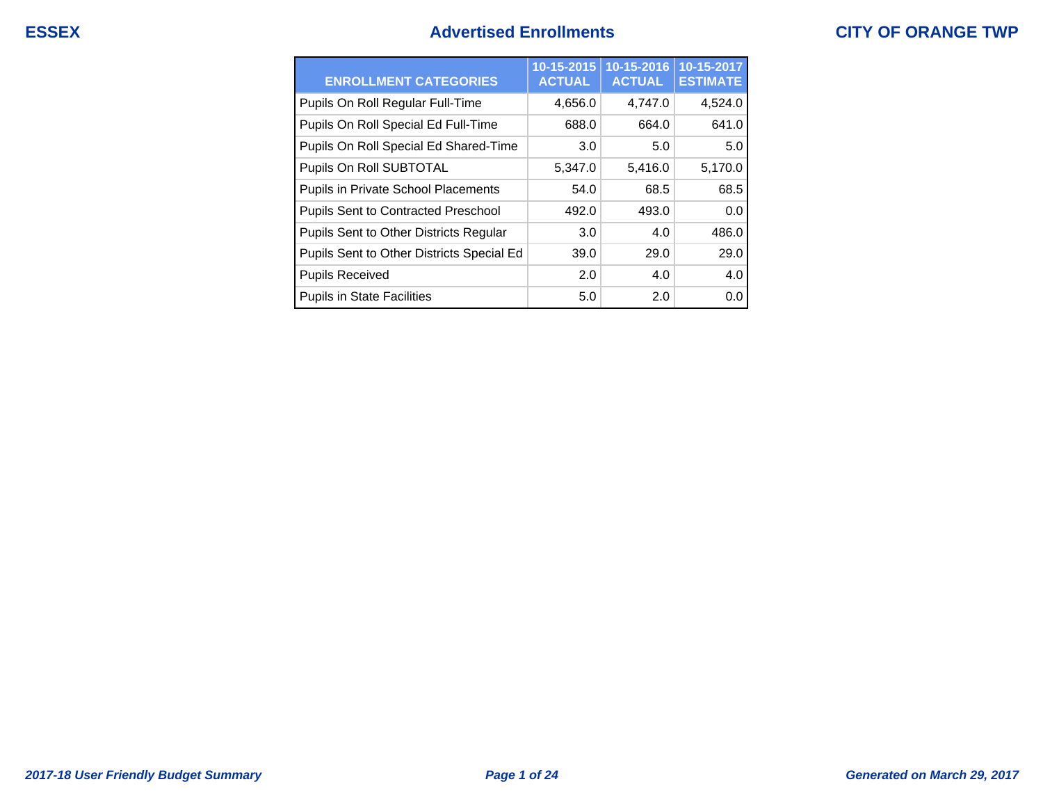## **ESSEX Advertised Enrollments**

|  |  | <b>CITY OF ORANGE TWP</b> |  |  |
|--|--|---------------------------|--|--|
|--|--|---------------------------|--|--|

| <b>ENROLLMENT CATEGORIES</b>               | 10-15-2015<br><b>ACTUAL</b> | 10-15-2016<br><b>ACTUAL</b> | 10-15-2017<br><b>ESTIMATE</b> |
|--------------------------------------------|-----------------------------|-----------------------------|-------------------------------|
| Pupils On Roll Regular Full-Time           | 4,656.0                     | 4,747.0                     | 4,524.0                       |
| Pupils On Roll Special Ed Full-Time        | 688.0                       | 664.0                       | 641.0                         |
| Pupils On Roll Special Ed Shared-Time      | 3.0                         | 5.0                         | 5.0                           |
| Pupils On Roll SUBTOTAL                    | 5,347.0                     | 5,416.0                     | 5,170.0                       |
| Pupils in Private School Placements        | 54.0                        | 68.5                        | 68.5                          |
| <b>Pupils Sent to Contracted Preschool</b> | 492.0                       | 493.0                       | 0.0                           |
| Pupils Sent to Other Districts Regular     | 3.0                         | 4.0                         | 486.0                         |
| Pupils Sent to Other Districts Special Ed  | 39.0                        | 29.0                        | 29.0                          |
| <b>Pupils Received</b>                     | 2.0                         | 4.0                         | 4.0                           |
| <b>Pupils in State Facilities</b>          | 5.0                         | 2.0                         | 0.0                           |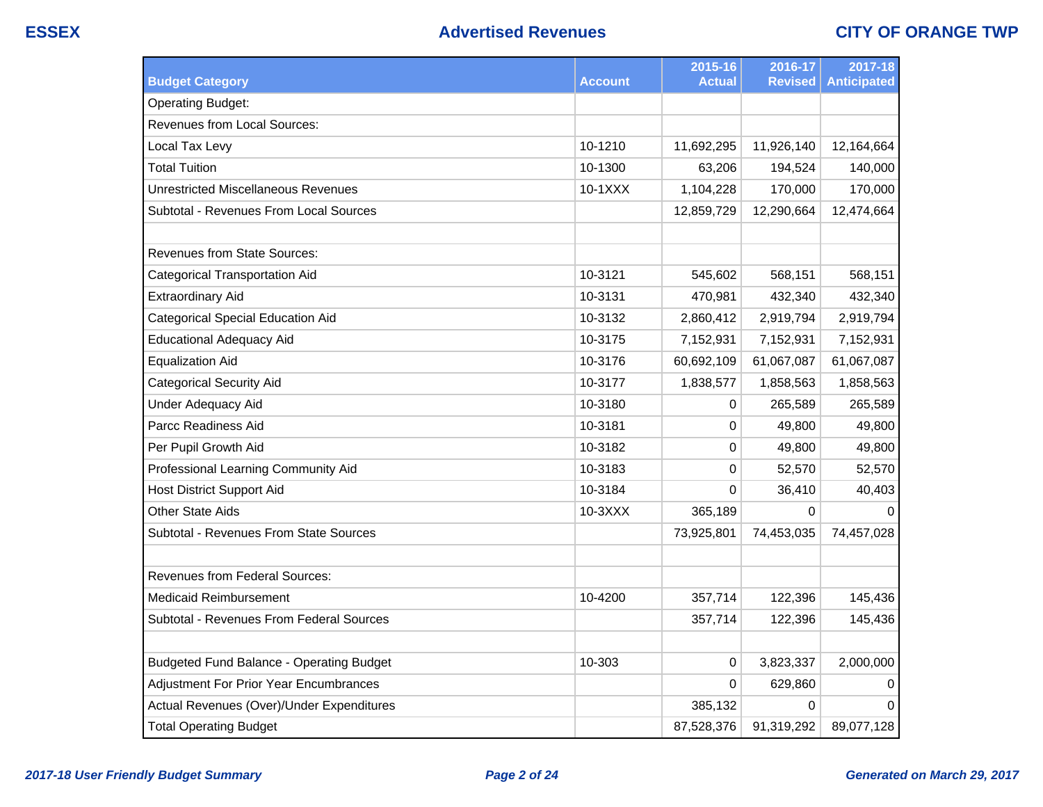| <b>Budget Category</b>                                          | <b>Account</b> | 2015-16<br><b>Actual</b> | 2016-17<br><b>Revised</b> | 2017-18<br><b>Anticipated</b> |
|-----------------------------------------------------------------|----------------|--------------------------|---------------------------|-------------------------------|
|                                                                 |                |                          |                           |                               |
| <b>Operating Budget:</b><br><b>Revenues from Local Sources:</b> |                |                          |                           |                               |
|                                                                 |                |                          |                           |                               |
| Local Tax Levy                                                  | 10-1210        | 11,692,295               | 11,926,140                | 12,164,664                    |
| <b>Total Tuition</b>                                            | 10-1300        | 63,206                   | 194,524                   | 140,000                       |
| <b>Unrestricted Miscellaneous Revenues</b>                      | 10-1XXX        | 1,104,228                | 170,000                   | 170,000                       |
| Subtotal - Revenues From Local Sources                          |                | 12,859,729               | 12,290,664                | 12,474,664                    |
|                                                                 |                |                          |                           |                               |
| <b>Revenues from State Sources:</b>                             |                |                          |                           |                               |
| <b>Categorical Transportation Aid</b>                           | 10-3121        | 545,602                  | 568,151                   | 568,151                       |
| <b>Extraordinary Aid</b>                                        | 10-3131        | 470,981                  | 432,340                   | 432,340                       |
| <b>Categorical Special Education Aid</b>                        | 10-3132        | 2,860,412                | 2,919,794                 | 2,919,794                     |
| <b>Educational Adequacy Aid</b>                                 | 10-3175        | 7,152,931                | 7,152,931                 | 7,152,931                     |
| <b>Equalization Aid</b>                                         | 10-3176        | 60,692,109               | 61,067,087                | 61,067,087                    |
| <b>Categorical Security Aid</b>                                 | 10-3177        | 1,838,577                | 1,858,563                 | 1,858,563                     |
| <b>Under Adequacy Aid</b>                                       | 10-3180        | 0                        | 265,589                   | 265,589                       |
| Parcc Readiness Aid                                             | 10-3181        | $\boldsymbol{0}$         | 49,800                    | 49,800                        |
| Per Pupil Growth Aid                                            | 10-3182        | 0                        | 49,800                    | 49,800                        |
| Professional Learning Community Aid                             | 10-3183        | 0                        | 52,570                    | 52,570                        |
| <b>Host District Support Aid</b>                                | 10-3184        | 0                        | 36,410                    | 40,403                        |
| <b>Other State Aids</b>                                         | 10-3XXX        | 365,189                  | $\Omega$                  | $\Omega$                      |
| Subtotal - Revenues From State Sources                          |                | 73,925,801               | 74,453,035                | 74,457,028                    |
|                                                                 |                |                          |                           |                               |
| <b>Revenues from Federal Sources:</b>                           |                |                          |                           |                               |
| <b>Medicaid Reimbursement</b>                                   | 10-4200        | 357,714                  | 122,396                   | 145,436                       |
| <b>Subtotal - Revenues From Federal Sources</b>                 |                | 357,714                  | 122,396                   | 145,436                       |
|                                                                 |                |                          |                           |                               |
| <b>Budgeted Fund Balance - Operating Budget</b>                 | 10-303         | $\pmb{0}$                | 3,823,337                 | 2,000,000                     |
| Adjustment For Prior Year Encumbrances                          |                | 0                        | 629,860                   | 0                             |
| Actual Revenues (Over)/Under Expenditures                       |                | 385,132                  | 0                         | $\Omega$                      |
| <b>Total Operating Budget</b>                                   |                | 87,528,376               | 91,319,292                | 89,077,128                    |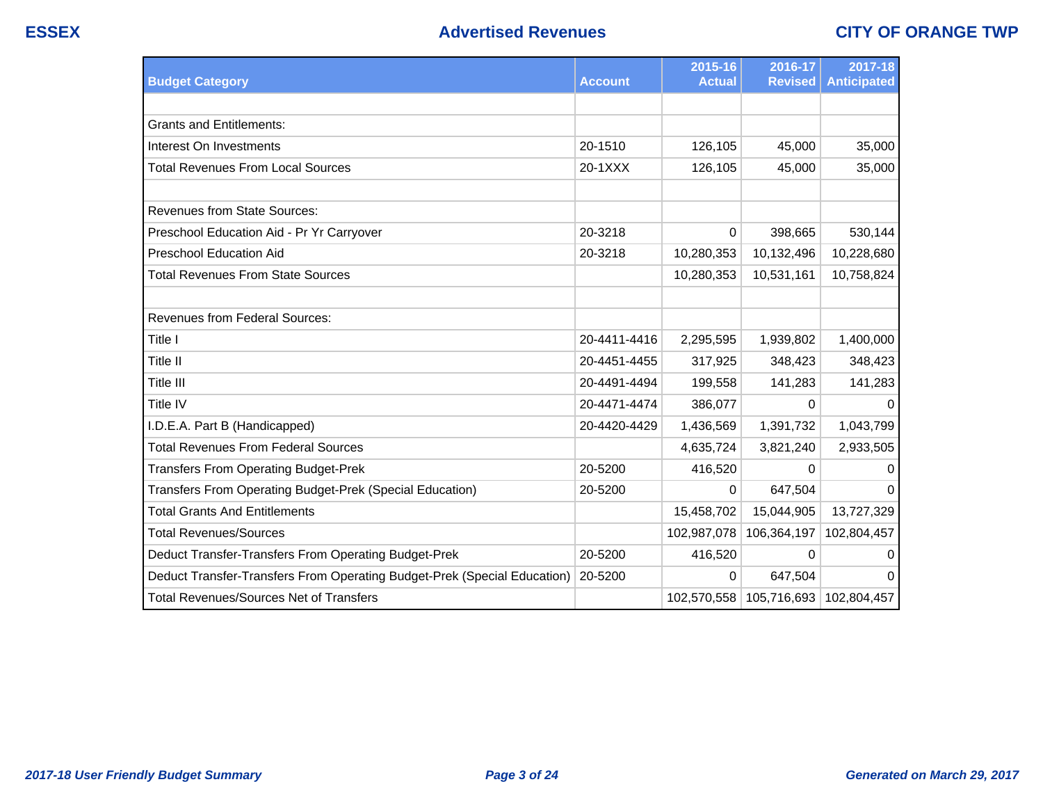|                                                                          |                | 2015-16       | 2016-17                                 | 2017-18            |
|--------------------------------------------------------------------------|----------------|---------------|-----------------------------------------|--------------------|
| <b>Budget Category</b>                                                   | <b>Account</b> | <b>Actual</b> | <b>Revised</b>                          | <b>Anticipated</b> |
|                                                                          |                |               |                                         |                    |
| <b>Grants and Entitlements:</b>                                          |                |               |                                         |                    |
| Interest On Investments                                                  | 20-1510        | 126,105       | 45,000                                  | 35,000             |
| <b>Total Revenues From Local Sources</b>                                 | 20-1XXX        | 126,105       | 45,000                                  | 35,000             |
|                                                                          |                |               |                                         |                    |
| <b>Revenues from State Sources:</b>                                      |                |               |                                         |                    |
| Preschool Education Aid - Pr Yr Carryover                                | 20-3218        | 0             | 398,665                                 | 530,144            |
| <b>Preschool Education Aid</b>                                           | 20-3218        | 10,280,353    | 10,132,496                              | 10,228,680         |
| <b>Total Revenues From State Sources</b>                                 |                | 10,280,353    | 10,531,161                              | 10,758,824         |
|                                                                          |                |               |                                         |                    |
| <b>Revenues from Federal Sources:</b>                                    |                |               |                                         |                    |
| Title I                                                                  | 20-4411-4416   | 2,295,595     | 1,939,802                               | 1,400,000          |
| Title II                                                                 | 20-4451-4455   | 317,925       | 348,423                                 | 348,423            |
| Title III                                                                | 20-4491-4494   | 199,558       | 141,283                                 | 141,283            |
| Title IV                                                                 | 20-4471-4474   | 386,077       | 0                                       | 0                  |
| I.D.E.A. Part B (Handicapped)                                            | 20-4420-4429   | 1,436,569     | 1,391,732                               | 1,043,799          |
| <b>Total Revenues From Federal Sources</b>                               |                | 4,635,724     | 3,821,240                               | 2,933,505          |
| <b>Transfers From Operating Budget-Prek</b>                              | 20-5200        | 416,520       | 0                                       | $\Omega$           |
| Transfers From Operating Budget-Prek (Special Education)                 | 20-5200        | 0             | 647,504                                 | $\Omega$           |
| <b>Total Grants And Entitlements</b>                                     |                | 15,458,702    | 15,044,905                              | 13,727,329         |
| <b>Total Revenues/Sources</b>                                            |                | 102,987,078   | 106,364,197                             | 102,804,457        |
| Deduct Transfer-Transfers From Operating Budget-Prek                     | 20-5200        | 416,520       | 0                                       | $\mathbf 0$        |
| Deduct Transfer-Transfers From Operating Budget-Prek (Special Education) | 20-5200        | 0             | 647,504                                 | 0                  |
| <b>Total Revenues/Sources Net of Transfers</b>                           |                |               | 102,570,558   105,716,693   102,804,457 |                    |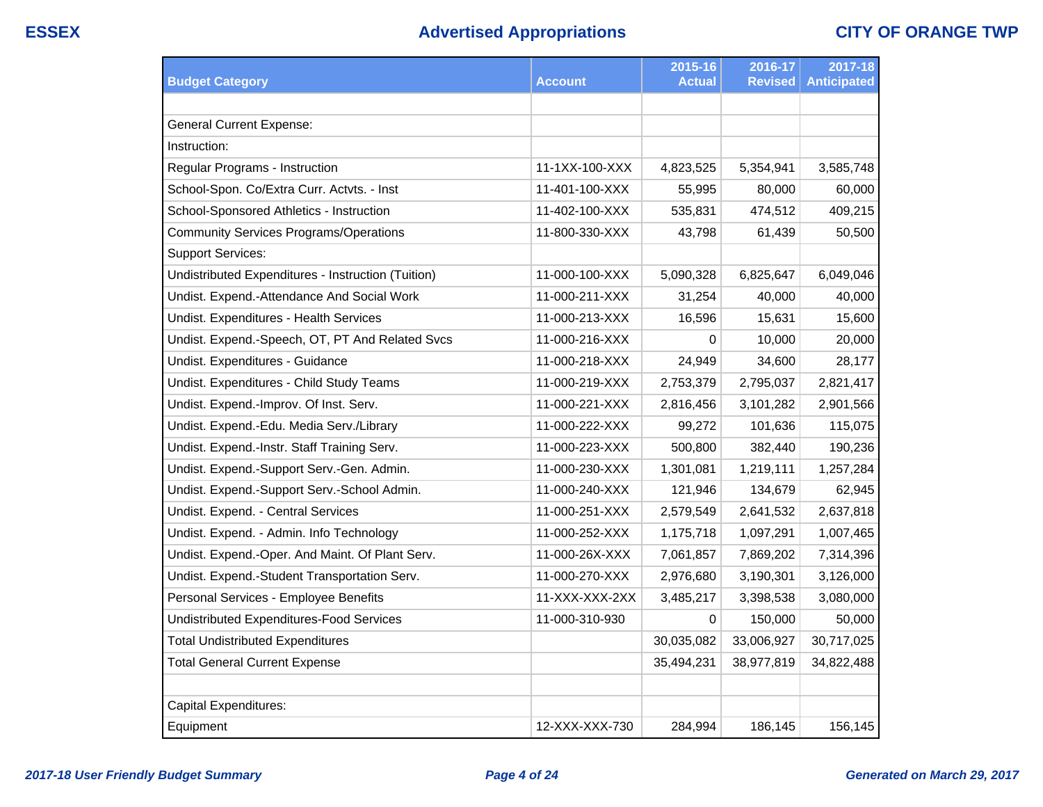|                                                    |                | 2015-16       | 2016-17        | 2017-18            |
|----------------------------------------------------|----------------|---------------|----------------|--------------------|
| <b>Budget Category</b>                             | Account        | <b>Actual</b> | <b>Revised</b> | <b>Anticipated</b> |
|                                                    |                |               |                |                    |
| <b>General Current Expense:</b>                    |                |               |                |                    |
| Instruction:                                       |                |               |                |                    |
| Regular Programs - Instruction                     | 11-1XX-100-XXX | 4,823,525     | 5,354,941      | 3,585,748          |
| School-Spon. Co/Extra Curr. Actvts. - Inst         | 11-401-100-XXX | 55,995        | 80,000         | 60,000             |
| School-Sponsored Athletics - Instruction           | 11-402-100-XXX | 535,831       | 474,512        | 409,215            |
| <b>Community Services Programs/Operations</b>      | 11-800-330-XXX | 43,798        | 61,439         | 50,500             |
| <b>Support Services:</b>                           |                |               |                |                    |
| Undistributed Expenditures - Instruction (Tuition) | 11-000-100-XXX | 5,090,328     | 6,825,647      | 6,049,046          |
| Undist. Expend.-Attendance And Social Work         | 11-000-211-XXX | 31,254        | 40,000         | 40,000             |
| Undist. Expenditures - Health Services             | 11-000-213-XXX | 16,596        | 15,631         | 15,600             |
| Undist. Expend.-Speech, OT, PT And Related Svcs    | 11-000-216-XXX | 0             | 10,000         | 20,000             |
| Undist. Expenditures - Guidance                    | 11-000-218-XXX | 24,949        | 34,600         | 28,177             |
| Undist. Expenditures - Child Study Teams           | 11-000-219-XXX | 2,753,379     | 2,795,037      | 2,821,417          |
| Undist. Expend.-Improv. Of Inst. Serv.             | 11-000-221-XXX | 2,816,456     | 3,101,282      | 2,901,566          |
| Undist. Expend.-Edu. Media Serv./Library           | 11-000-222-XXX | 99,272        | 101,636        | 115,075            |
| Undist. Expend.-Instr. Staff Training Serv.        | 11-000-223-XXX | 500,800       | 382,440        | 190,236            |
| Undist. Expend.-Support Serv.-Gen. Admin.          | 11-000-230-XXX | 1,301,081     | 1,219,111      | 1,257,284          |
| Undist. Expend.-Support Serv.-School Admin.        | 11-000-240-XXX | 121,946       | 134,679        | 62,945             |
| Undist. Expend. - Central Services                 | 11-000-251-XXX | 2,579,549     | 2,641,532      | 2,637,818          |
| Undist. Expend. - Admin. Info Technology           | 11-000-252-XXX | 1,175,718     | 1,097,291      | 1,007,465          |
| Undist. Expend.-Oper. And Maint. Of Plant Serv.    | 11-000-26X-XXX | 7,061,857     | 7,869,202      | 7,314,396          |
| Undist. Expend.-Student Transportation Serv.       | 11-000-270-XXX | 2,976,680     | 3,190,301      | 3,126,000          |
| Personal Services - Employee Benefits              | 11-XXX-XXX-2XX | 3,485,217     | 3,398,538      | 3,080,000          |
| <b>Undistributed Expenditures-Food Services</b>    | 11-000-310-930 | 0             | 150,000        | 50,000             |
| <b>Total Undistributed Expenditures</b>            |                | 30,035,082    | 33,006,927     | 30,717,025         |
| <b>Total General Current Expense</b>               |                | 35,494,231    | 38,977,819     | 34,822,488         |
|                                                    |                |               |                |                    |
| Capital Expenditures:                              |                |               |                |                    |
| Equipment                                          | 12-XXX-XXX-730 | 284,994       | 186,145        | 156,145            |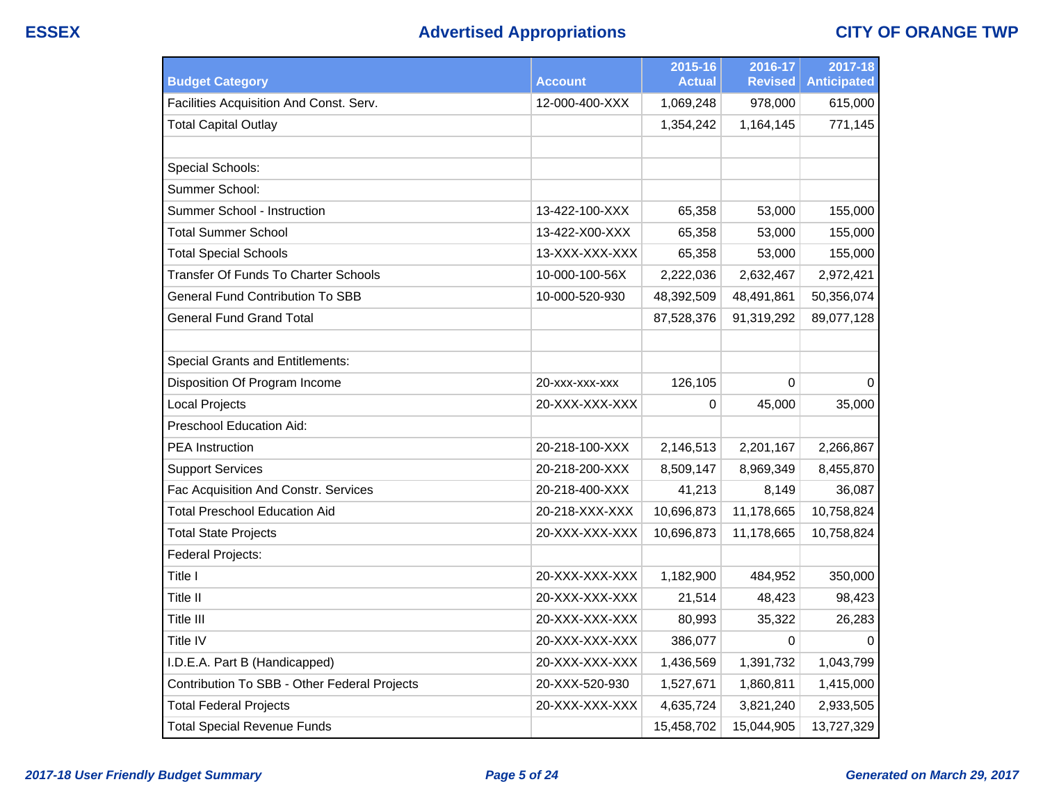# **ESSEX Advertised Appropriations CITY OF ORANGE TWP**

|                                              |                | 2015-16       | 2016-17        | 2017-18            |
|----------------------------------------------|----------------|---------------|----------------|--------------------|
| <b>Budget Category</b>                       | <b>Account</b> | <b>Actual</b> | <b>Revised</b> | <b>Anticipated</b> |
| Facilities Acquisition And Const. Serv.      | 12-000-400-XXX | 1,069,248     | 978,000        | 615,000            |
| <b>Total Capital Outlay</b>                  |                | 1,354,242     | 1,164,145      | 771,145            |
|                                              |                |               |                |                    |
| Special Schools:                             |                |               |                |                    |
| Summer School:                               |                |               |                |                    |
| Summer School - Instruction                  | 13-422-100-XXX | 65,358        | 53,000         | 155,000            |
| <b>Total Summer School</b>                   | 13-422-X00-XXX | 65,358        | 53,000         | 155,000            |
| <b>Total Special Schools</b>                 | 13-XXX-XXX-XXX | 65,358        | 53,000         | 155,000            |
| Transfer Of Funds To Charter Schools         | 10-000-100-56X | 2,222,036     | 2,632,467      | 2,972,421          |
| <b>General Fund Contribution To SBB</b>      | 10-000-520-930 | 48,392,509    | 48,491,861     | 50,356,074         |
| <b>General Fund Grand Total</b>              |                | 87,528,376    | 91,319,292     | 89,077,128         |
|                                              |                |               |                |                    |
| <b>Special Grants and Entitlements:</b>      |                |               |                |                    |
| Disposition Of Program Income                | 20-XXX-XXX-XXX | 126,105       | 0              | $\mathbf 0$        |
| <b>Local Projects</b>                        | 20-XXX-XXX-XXX | 0             | 45,000         | 35,000             |
| <b>Preschool Education Aid:</b>              |                |               |                |                    |
| <b>PEA</b> Instruction                       | 20-218-100-XXX | 2,146,513     | 2,201,167      | 2,266,867          |
| <b>Support Services</b>                      | 20-218-200-XXX | 8,509,147     | 8,969,349      | 8,455,870          |
| Fac Acquisition And Constr. Services         | 20-218-400-XXX | 41,213        | 8,149          | 36,087             |
| <b>Total Preschool Education Aid</b>         | 20-218-XXX-XXX | 10,696,873    | 11,178,665     | 10,758,824         |
| <b>Total State Projects</b>                  | 20-XXX-XXX-XXX | 10,696,873    | 11,178,665     | 10,758,824         |
| Federal Projects:                            |                |               |                |                    |
| Title I                                      | 20-XXX-XXX-XXX | 1,182,900     | 484,952        | 350,000            |
| Title II                                     | 20-XXX-XXX-XXX | 21,514        | 48,423         | 98,423             |
| Title III                                    | 20-XXX-XXX-XXX | 80,993        | 35,322         | 26,283             |
| Title IV                                     | 20-XXX-XXX-XXX | 386,077       | $\mathbf 0$    | $\Omega$           |
| I.D.E.A. Part B (Handicapped)                | 20-XXX-XXX-XXX | 1,436,569     | 1,391,732      | 1,043,799          |
| Contribution To SBB - Other Federal Projects | 20-XXX-520-930 | 1,527,671     | 1,860,811      | 1,415,000          |
| <b>Total Federal Projects</b>                | 20-XXX-XXX-XXX | 4,635,724     | 3,821,240      | 2,933,505          |
| <b>Total Special Revenue Funds</b>           |                | 15,458,702    | 15,044,905     | 13,727,329         |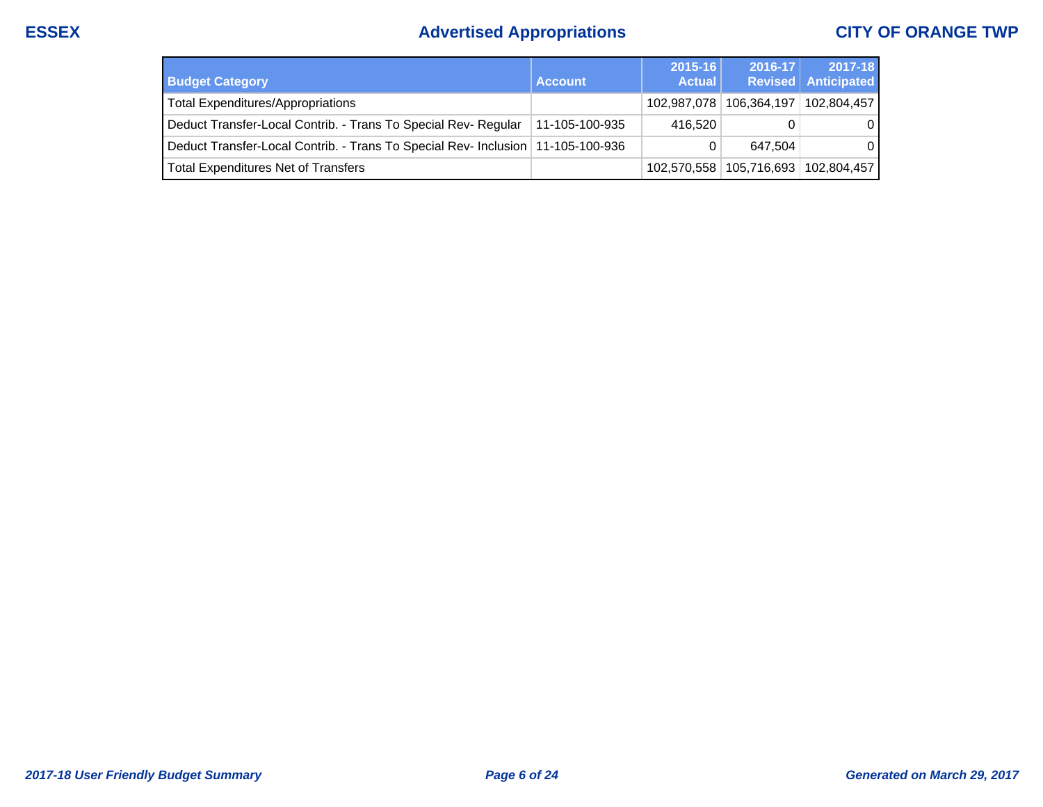# **ESSEX Advertised Appropriations CITY OF ORANGE TWP**

| <b>Budget Category</b>                                                            | <b>Account</b> | 2015-16<br><b>Actual</b> | $2016 - 17$                             | 2017-18<br><b>Revised</b> Anticipated |
|-----------------------------------------------------------------------------------|----------------|--------------------------|-----------------------------------------|---------------------------------------|
| Total Expenditures/Appropriations                                                 |                |                          | 102,987,078   106,364,197   102,804,457 |                                       |
| Deduct Transfer-Local Contrib. - Trans To Special Rev- Regular                    | 11-105-100-935 | 416.520                  |                                         | $\mathbf{0}$                          |
| Deduct Transfer-Local Contrib. - Trans To Special Rev- Inclusion   11-105-100-936 |                |                          | 647.504                                 | $\Omega$                              |
| Total Expenditures Net of Transfers                                               |                |                          | 102,570,558   105,716,693   102,804,457 |                                       |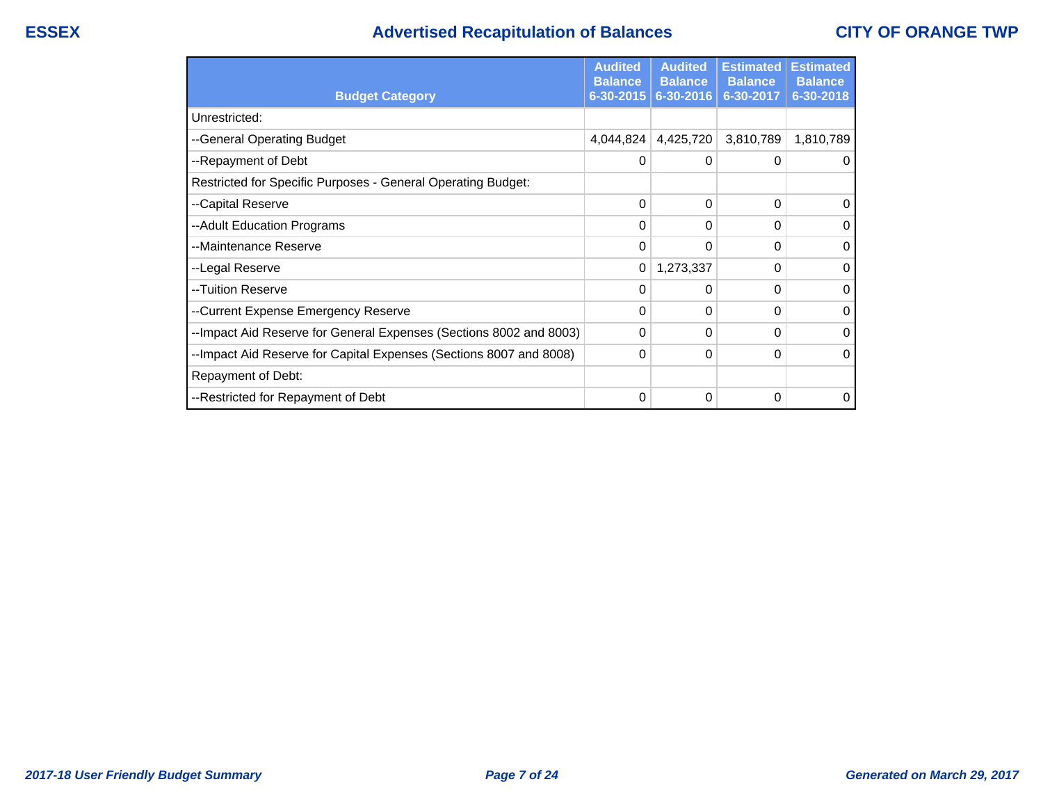## **ESSEX Advertised Recapitulation of Balances CITY OF ORANGE TWP**

|                                                                    | <b>Audited</b><br><b>Balance</b> | <b>Audited</b><br><b>Balance</b> | <b>Estimated</b><br><b>Balance</b> | <b>Estimated</b><br><b>Balance</b> |
|--------------------------------------------------------------------|----------------------------------|----------------------------------|------------------------------------|------------------------------------|
| <b>Budget Category</b>                                             | $6 - 30 - 2015$                  | 6-30-2016                        | 6-30-2017                          | 6-30-2018                          |
| Unrestricted:                                                      |                                  |                                  |                                    |                                    |
| --General Operating Budget                                         | 4,044,824                        | 4,425,720                        | 3,810,789                          | 1,810,789                          |
| --Repayment of Debt                                                | 0                                | 0                                | 0                                  | 0                                  |
| Restricted for Specific Purposes - General Operating Budget:       |                                  |                                  |                                    |                                    |
| --Capital Reserve                                                  | 0                                | 0                                | 0                                  | $\Omega$                           |
| --Adult Education Programs                                         | 0                                | 0                                | $\Omega$                           | $\mathbf 0$                        |
| --Maintenance Reserve                                              | 0                                | 0                                | 0                                  | $\Omega$                           |
| --Legal Reserve                                                    | 0                                | 1,273,337                        | 0                                  | $\Omega$                           |
| --Tuition Reserve                                                  | 0                                | 0                                | 0                                  | $\Omega$                           |
| --Current Expense Emergency Reserve                                | 0                                | 0                                | 0                                  | $\Omega$                           |
| --Impact Aid Reserve for General Expenses (Sections 8002 and 8003) | 0                                | 0                                | 0                                  | $\Omega$                           |
| --Impact Aid Reserve for Capital Expenses (Sections 8007 and 8008) | 0                                | 0                                | 0                                  | $\Omega$                           |
| Repayment of Debt:                                                 |                                  |                                  |                                    |                                    |
| --Restricted for Repayment of Debt                                 | 0                                | 0                                | 0                                  | 0                                  |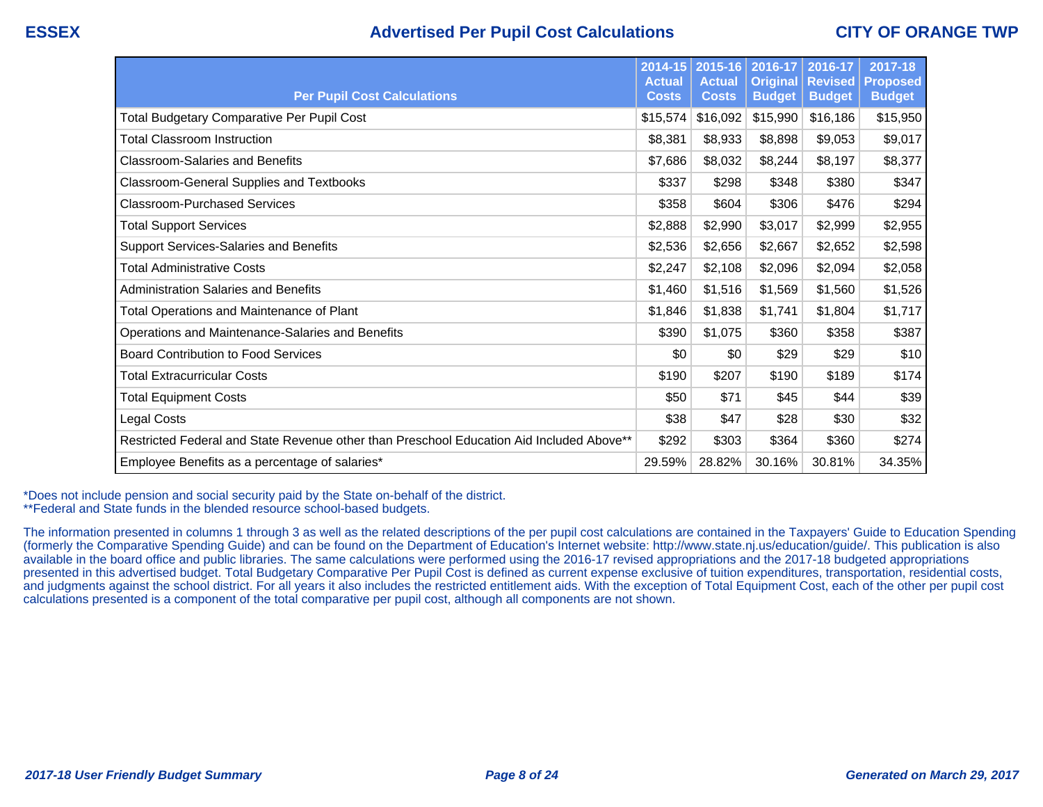## **ESSEX Advertised Per Pupil Cost Calculations CITY OF ORANGE TWP**

| <b>Per Pupil Cost Calculations</b>                                                       | $2014 - 15$<br><b>Actual</b><br><b>Costs</b> | 2015-16<br><b>Actual</b><br><b>Costs</b> | 2016-17<br><b>Original</b><br><b>Budget</b> | 2016-17<br><b>Revised</b><br><b>Budget</b> | 2017-18<br>Proposed<br><b>Budget</b> |
|------------------------------------------------------------------------------------------|----------------------------------------------|------------------------------------------|---------------------------------------------|--------------------------------------------|--------------------------------------|
| <b>Total Budgetary Comparative Per Pupil Cost</b>                                        | \$15,574                                     | \$16,092                                 | \$15,990                                    | \$16,186                                   | \$15,950                             |
| <b>Total Classroom Instruction</b>                                                       | \$8,381                                      | \$8,933                                  | \$8,898                                     | \$9,053                                    | \$9,017                              |
| <b>Classroom-Salaries and Benefits</b>                                                   | \$7,686                                      | \$8,032                                  | \$8,244                                     | \$8,197                                    | \$8,377                              |
| Classroom-General Supplies and Textbooks                                                 | \$337                                        | \$298                                    | \$348                                       | \$380                                      | \$347                                |
| <b>Classroom-Purchased Services</b>                                                      | \$358                                        | \$604                                    | \$306                                       | \$476                                      | \$294                                |
| <b>Total Support Services</b>                                                            | \$2,888                                      | \$2,990                                  | \$3,017                                     | \$2,999                                    | \$2,955                              |
| <b>Support Services-Salaries and Benefits</b>                                            | \$2,536                                      | \$2,656                                  | \$2,667                                     | \$2,652                                    | \$2,598                              |
| <b>Total Administrative Costs</b>                                                        | \$2,247                                      | \$2,108                                  | \$2,096                                     | \$2,094                                    | \$2,058                              |
| <b>Administration Salaries and Benefits</b>                                              | \$1,460                                      | \$1,516                                  | \$1,569                                     | \$1,560                                    | \$1,526                              |
| <b>Total Operations and Maintenance of Plant</b>                                         | \$1,846                                      | \$1,838                                  | \$1,741                                     | \$1,804                                    | \$1,717                              |
| Operations and Maintenance-Salaries and Benefits                                         | \$390                                        | \$1,075                                  | \$360                                       | \$358                                      | \$387                                |
| <b>Board Contribution to Food Services</b>                                               | \$0                                          | \$0                                      | \$29                                        | \$29                                       | \$10                                 |
| Total Extracurricular Costs                                                              | \$190                                        | \$207                                    | \$190                                       | \$189                                      | \$174                                |
| <b>Total Equipment Costs</b>                                                             | \$50                                         | \$71                                     | \$45                                        | \$44                                       | \$39                                 |
| Legal Costs                                                                              | \$38                                         | \$47                                     | \$28                                        | \$30                                       | \$32                                 |
| Restricted Federal and State Revenue other than Preschool Education Aid Included Above** | \$292                                        | \$303                                    | \$364                                       | \$360                                      | \$274                                |
| Employee Benefits as a percentage of salaries*                                           | 29.59%                                       | 28.82%                                   | 30.16%                                      | 30.81%                                     | 34.35%                               |

\*Does not include pension and social security paid by the State on-behalf of the district. \*\*Federal and State funds in the blended resource school-based budgets.

The information presented in columns 1 through 3 as well as the related descriptions of the per pupil cost calculations are contained in the Taxpayers' Guide to Education Spending (formerly the Comparative Spending Guide) and can be found on the Department of Education's Internet website: http://www.state.nj.us/education/guide/. This publication is also available in the board office and public libraries. The same calculations were performed using the 2016-17 revised appropriations and the 2017-18 budgeted appropriations presented in this advertised budget. Total Budgetary Comparative Per Pupil Cost is defined as current expense exclusive of tuition expenditures, transportation, residential costs, and judgments against the school district. For all years it also includes the restricted entitlement aids. With the exception of Total Equipment Cost, each of the other per pupil cost calculations presented is a component of the total comparative per pupil cost, although all components are not shown.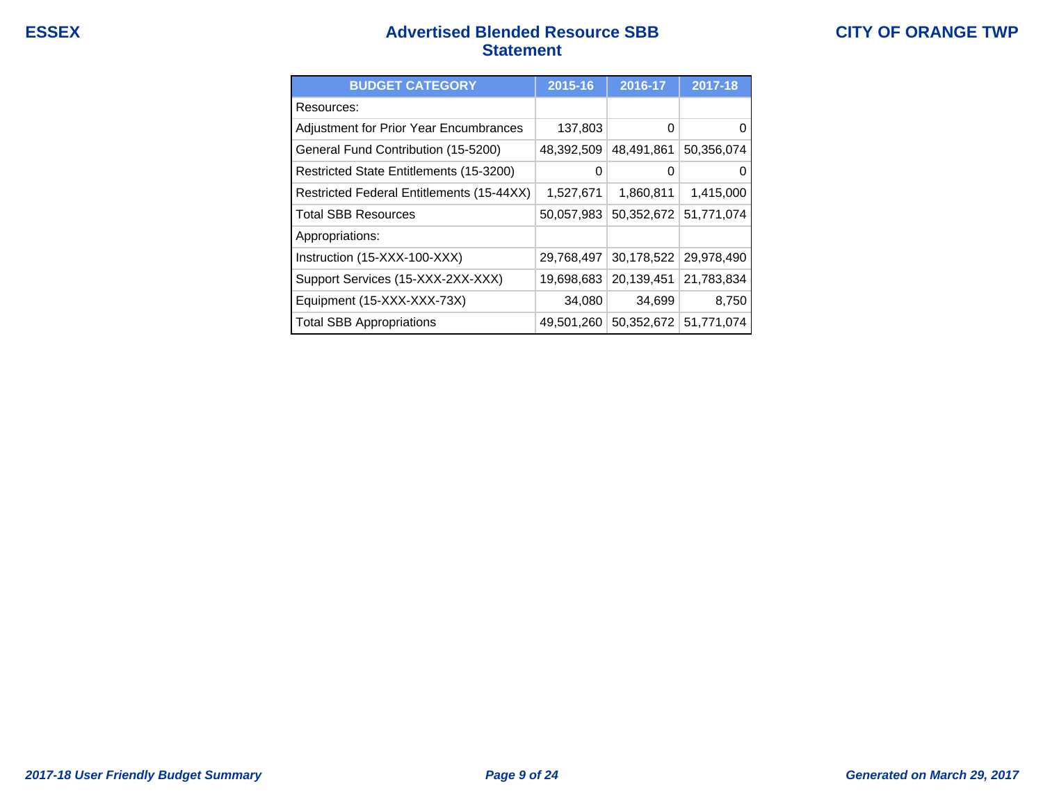## **ESSEX Advertised Blended Resource SBB Statement**

| <b>BUDGET CATEGORY</b>                    | 2015-16    | 2016-17    | 2017-18    |
|-------------------------------------------|------------|------------|------------|
| Resources:                                |            |            |            |
| Adjustment for Prior Year Encumbrances    | 137,803    | 0          |            |
| General Fund Contribution (15-5200)       | 48,392,509 | 48,491,861 | 50,356,074 |
| Restricted State Entitlements (15-3200)   | 0          | 0          |            |
| Restricted Federal Entitlements (15-44XX) | 1,527,671  | 1,860,811  | 1,415,000  |
| <b>Total SBB Resources</b>                | 50,057,983 | 50,352,672 | 51,771,074 |
| Appropriations:                           |            |            |            |
| Instruction (15-XXX-100-XXX)              | 29,768,497 | 30,178,522 | 29,978,490 |
| Support Services (15-XXX-2XX-XXX)         | 19,698,683 | 20,139,451 | 21,783,834 |
| Equipment (15-XXX-XXX-73X)                | 34,080     | 34,699     | 8,750      |
| <b>Total SBB Appropriations</b>           | 49,501,260 | 50,352,672 | 51,771,074 |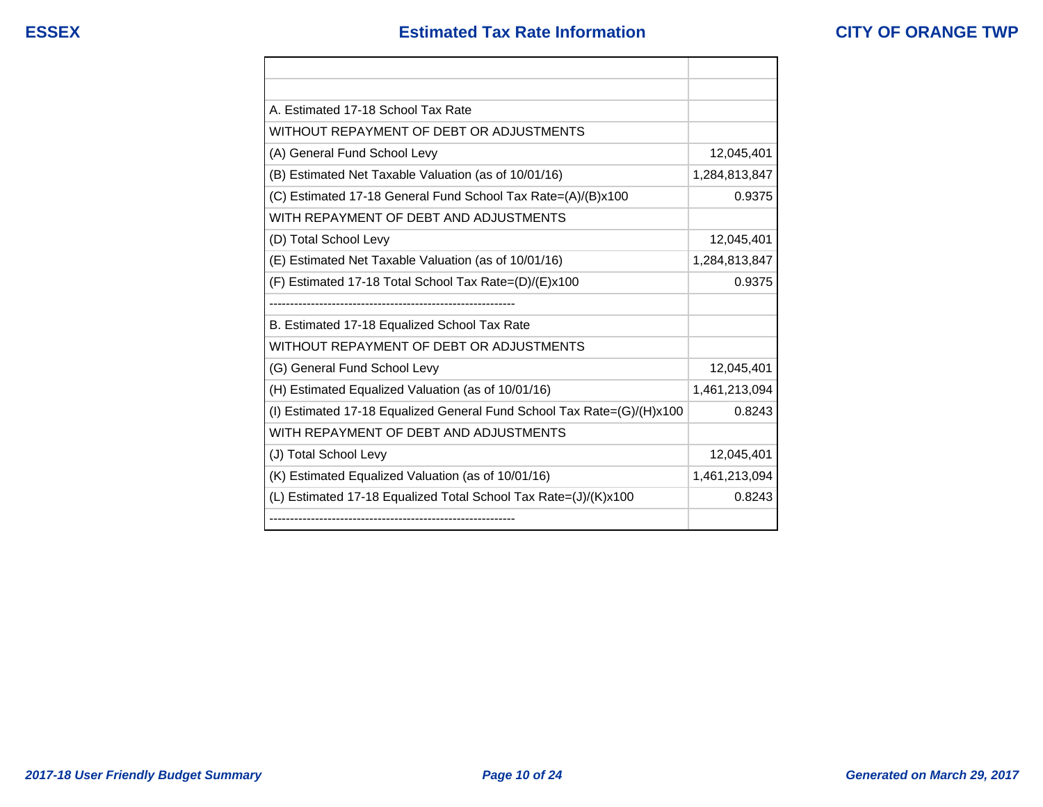| A. Estimated 17-18 School Tax Rate                                     |               |
|------------------------------------------------------------------------|---------------|
| WITHOUT REPAYMENT OF DEBT OR ADJUSTMENTS                               |               |
| (A) General Fund School Levy                                           | 12,045,401    |
| (B) Estimated Net Taxable Valuation (as of 10/01/16)                   | 1,284,813,847 |
| (C) Estimated 17-18 General Fund School Tax Rate=(A)/(B)x100           | 0.9375        |
| WITH REPAYMENT OF DEBT AND ADJUSTMENTS                                 |               |
| (D) Total School Levy                                                  | 12,045,401    |
| (E) Estimated Net Taxable Valuation (as of 10/01/16)                   | 1,284,813,847 |
| (F) Estimated 17-18 Total School Tax Rate=(D)/(E)x100                  | 0.9375        |
|                                                                        |               |
| B. Estimated 17-18 Equalized School Tax Rate                           |               |
| WITHOUT REPAYMENT OF DEBT OR ADJUSTMENTS                               |               |
| (G) General Fund School Levy                                           | 12,045,401    |
| (H) Estimated Equalized Valuation (as of 10/01/16)                     | 1,461,213,094 |
| (I) Estimated 17-18 Equalized General Fund School Tax Rate=(G)/(H)x100 | 0.8243        |
| WITH REPAYMENT OF DEBT AND ADJUSTMENTS                                 |               |
| (J) Total School Levy                                                  | 12,045,401    |
| (K) Estimated Equalized Valuation (as of 10/01/16)                     | 1,461,213,094 |
| (L) Estimated 17-18 Equalized Total School Tax Rate=(J)/(K)x100        | 0.8243        |
|                                                                        |               |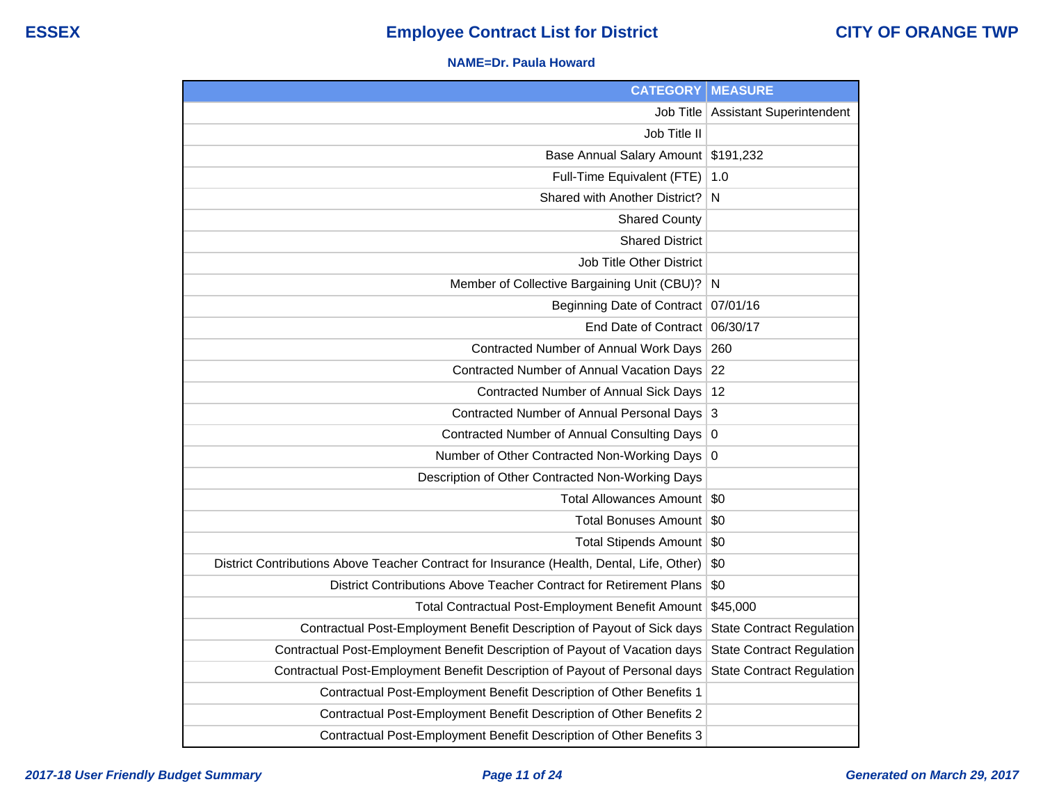#### **NAME=Dr. Paula Howard**

| <b>CATEGORY</b>                                                                           | <b>MEASURE</b>                   |
|-------------------------------------------------------------------------------------------|----------------------------------|
| <b>Job Title</b>                                                                          | <b>Assistant Superintendent</b>  |
| Job Title II                                                                              |                                  |
| Base Annual Salary Amount                                                                 | \$191,232                        |
| Full-Time Equivalent (FTE)                                                                | 1.0                              |
| Shared with Another District?                                                             | N                                |
| <b>Shared County</b>                                                                      |                                  |
| <b>Shared District</b>                                                                    |                                  |
| Job Title Other District                                                                  |                                  |
| Member of Collective Bargaining Unit (CBU)?                                               | N                                |
| <b>Beginning Date of Contract</b>                                                         | 07/01/16                         |
| End Date of Contract                                                                      | 06/30/17                         |
| Contracted Number of Annual Work Days                                                     | 260                              |
| Contracted Number of Annual Vacation Days                                                 | 22                               |
| Contracted Number of Annual Sick Days                                                     | 12                               |
| Contracted Number of Annual Personal Days                                                 | 3                                |
| <b>Contracted Number of Annual Consulting Days</b>                                        | $\boldsymbol{0}$                 |
| Number of Other Contracted Non-Working Days                                               | $\overline{0}$                   |
| Description of Other Contracted Non-Working Days                                          |                                  |
| <b>Total Allowances Amount</b>                                                            | \$0                              |
| <b>Total Bonuses Amount</b>                                                               | \$0                              |
| <b>Total Stipends Amount</b>                                                              | \$0                              |
| District Contributions Above Teacher Contract for Insurance (Health, Dental, Life, Other) | \$0                              |
| District Contributions Above Teacher Contract for Retirement Plans                        | \$0                              |
| Total Contractual Post-Employment Benefit Amount                                          | \$45,000                         |
| Contractual Post-Employment Benefit Description of Payout of Sick days                    | <b>State Contract Regulation</b> |
| Contractual Post-Employment Benefit Description of Payout of Vacation days                | <b>State Contract Regulation</b> |
| Contractual Post-Employment Benefit Description of Payout of Personal days                | <b>State Contract Regulation</b> |
| Contractual Post-Employment Benefit Description of Other Benefits 1                       |                                  |
| Contractual Post-Employment Benefit Description of Other Benefits 2                       |                                  |
| Contractual Post-Employment Benefit Description of Other Benefits 3                       |                                  |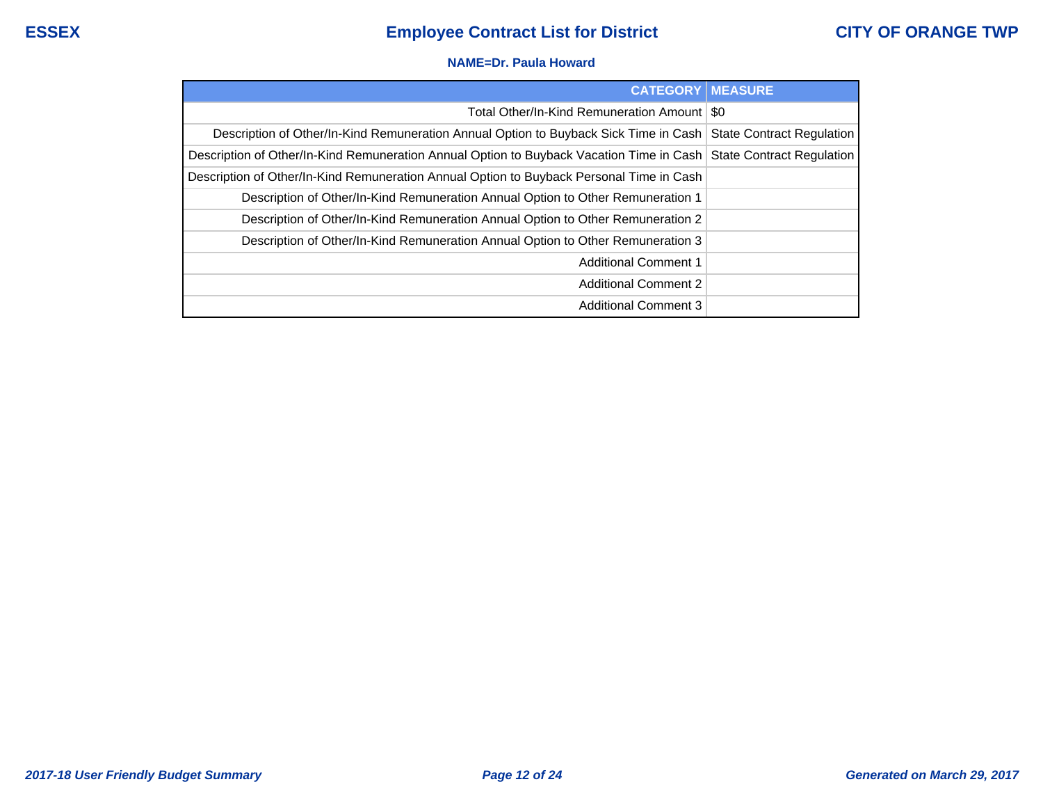#### **NAME=Dr. Paula Howard**

| <b>CATEGORY   MEASURE</b>                                                                                            |  |
|----------------------------------------------------------------------------------------------------------------------|--|
| Total Other/In-Kind Remuneration Amount   \$0                                                                        |  |
| Description of Other/In-Kind Remuneration Annual Option to Buyback Sick Time in Cash   State Contract Regulation     |  |
| Description of Other/In-Kind Remuneration Annual Option to Buyback Vacation Time in Cash   State Contract Regulation |  |
| Description of Other/In-Kind Remuneration Annual Option to Buyback Personal Time in Cash                             |  |
| Description of Other/In-Kind Remuneration Annual Option to Other Remuneration 1                                      |  |
| Description of Other/In-Kind Remuneration Annual Option to Other Remuneration 2                                      |  |
| Description of Other/In-Kind Remuneration Annual Option to Other Remuneration 3                                      |  |
| <b>Additional Comment 1</b>                                                                                          |  |
| <b>Additional Comment 2</b>                                                                                          |  |
| <b>Additional Comment 3</b>                                                                                          |  |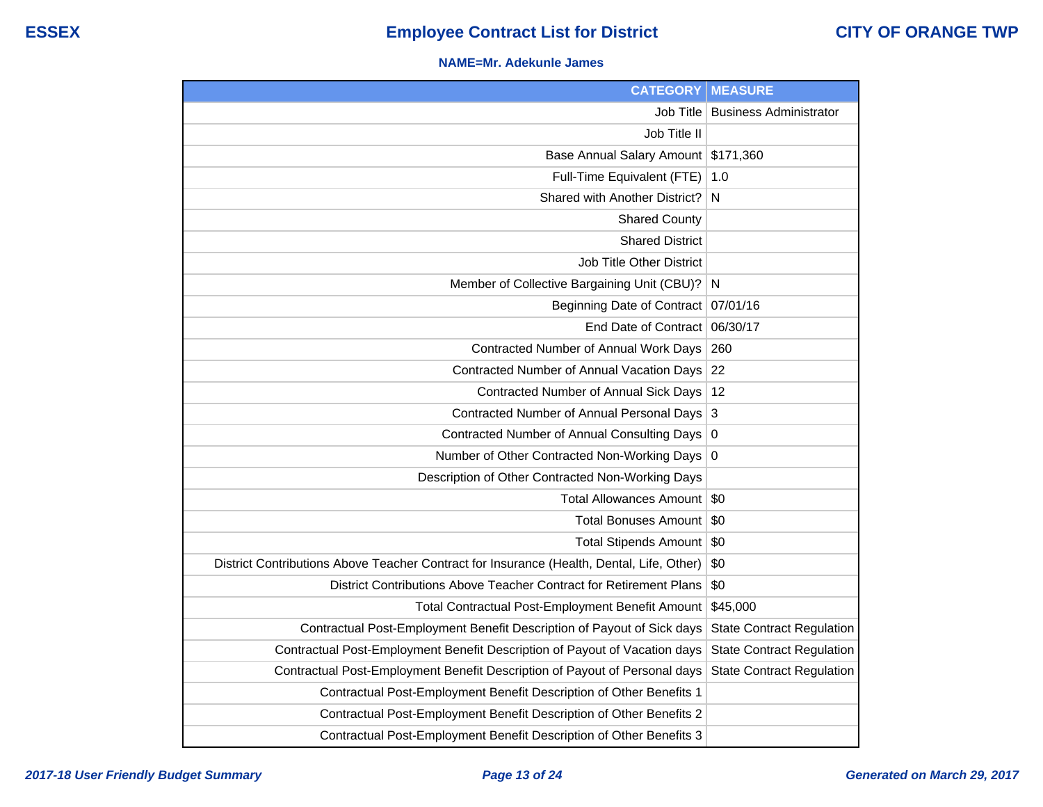#### **NAME=Mr. Adekunle James**

| <b>CATEGORY</b>                                                                           | <b>MEASURE</b>                   |
|-------------------------------------------------------------------------------------------|----------------------------------|
| Job Title                                                                                 | <b>Business Administrator</b>    |
| Job Title II                                                                              |                                  |
| Base Annual Salary Amount                                                                 | \$171,360                        |
| Full-Time Equivalent (FTE)                                                                | 1.0                              |
| Shared with Another District?                                                             | N                                |
| <b>Shared County</b>                                                                      |                                  |
| <b>Shared District</b>                                                                    |                                  |
| Job Title Other District                                                                  |                                  |
| Member of Collective Bargaining Unit (CBU)?                                               | N                                |
| <b>Beginning Date of Contract</b>                                                         | 07/01/16                         |
| End Date of Contract                                                                      | 06/30/17                         |
| Contracted Number of Annual Work Days                                                     | 260                              |
| Contracted Number of Annual Vacation Days                                                 | 22                               |
| Contracted Number of Annual Sick Days                                                     | 12                               |
| Contracted Number of Annual Personal Days                                                 | 3                                |
| Contracted Number of Annual Consulting Days                                               | 0                                |
| Number of Other Contracted Non-Working Days                                               | 0                                |
| Description of Other Contracted Non-Working Days                                          |                                  |
| <b>Total Allowances Amount</b>                                                            | \$0                              |
| <b>Total Bonuses Amount</b>                                                               | \$0                              |
| <b>Total Stipends Amount</b>                                                              | \$0                              |
| District Contributions Above Teacher Contract for Insurance (Health, Dental, Life, Other) | \$0                              |
| District Contributions Above Teacher Contract for Retirement Plans                        | \$0                              |
| Total Contractual Post-Employment Benefit Amount                                          | \$45,000                         |
| Contractual Post-Employment Benefit Description of Payout of Sick days                    | <b>State Contract Regulation</b> |
| Contractual Post-Employment Benefit Description of Payout of Vacation days                | <b>State Contract Regulation</b> |
| Contractual Post-Employment Benefit Description of Payout of Personal days                | <b>State Contract Regulation</b> |
| Contractual Post-Employment Benefit Description of Other Benefits 1                       |                                  |
| Contractual Post-Employment Benefit Description of Other Benefits 2                       |                                  |
| Contractual Post-Employment Benefit Description of Other Benefits 3                       |                                  |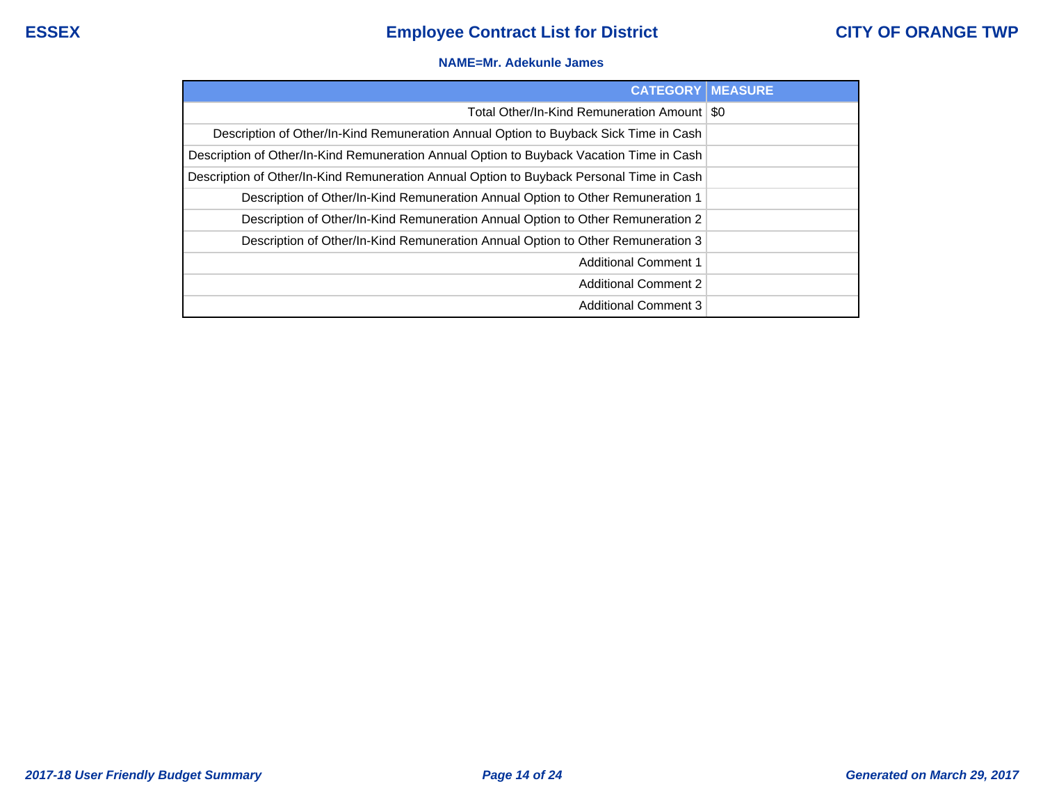#### **NAME=Mr. Adekunle James**

| <b>CATEGORY   MEASURE</b>                                                                |  |
|------------------------------------------------------------------------------------------|--|
| Total Other/In-Kind Remuneration Amount   \$0                                            |  |
| Description of Other/In-Kind Remuneration Annual Option to Buyback Sick Time in Cash     |  |
| Description of Other/In-Kind Remuneration Annual Option to Buyback Vacation Time in Cash |  |
| Description of Other/In-Kind Remuneration Annual Option to Buyback Personal Time in Cash |  |
| Description of Other/In-Kind Remuneration Annual Option to Other Remuneration 1          |  |
| Description of Other/In-Kind Remuneration Annual Option to Other Remuneration 2          |  |
| Description of Other/In-Kind Remuneration Annual Option to Other Remuneration 3          |  |
| <b>Additional Comment 1</b>                                                              |  |
| <b>Additional Comment 2</b>                                                              |  |
| <b>Additional Comment 3</b>                                                              |  |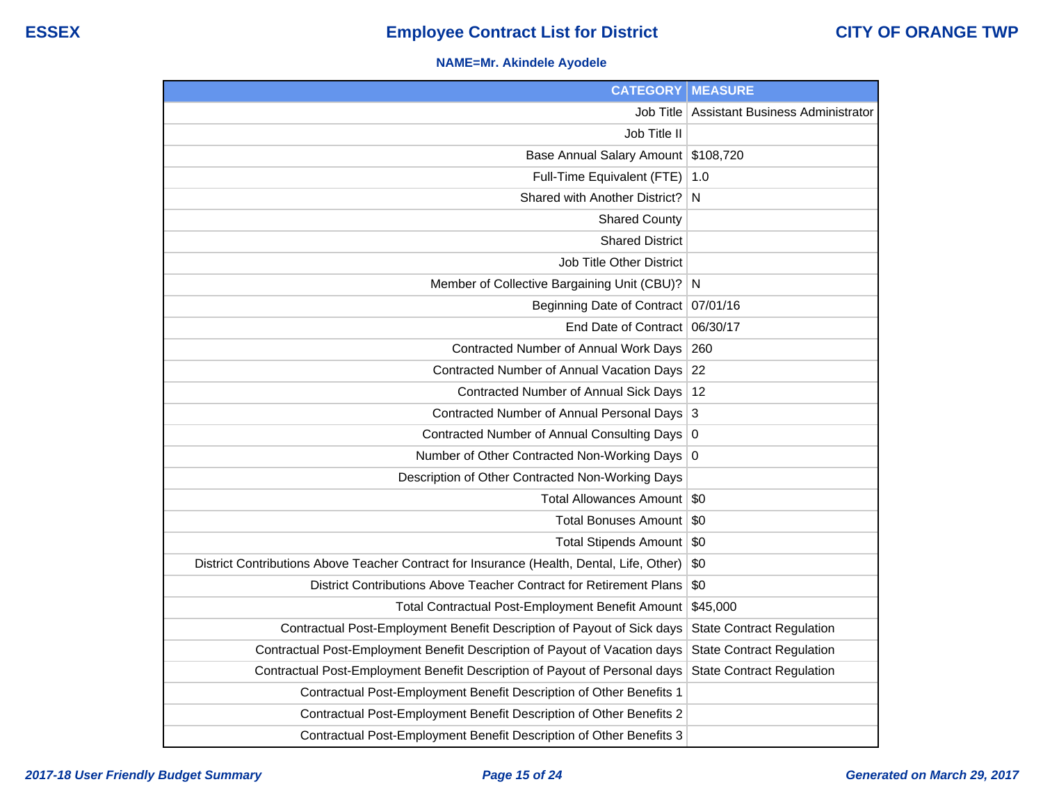## **NAME=Mr. Akindele Ayodele**

| <b>CATEGORY</b>                                                                           | <b>MEASURE</b>                   |
|-------------------------------------------------------------------------------------------|----------------------------------|
| Job Title                                                                                 | Assistant Business Administrator |
| Job Title II                                                                              |                                  |
| <b>Base Annual Salary Amount</b>                                                          | \$108,720                        |
| Full-Time Equivalent (FTE)                                                                | 1.0                              |
| Shared with Another District?                                                             | N                                |
| <b>Shared County</b>                                                                      |                                  |
| <b>Shared District</b>                                                                    |                                  |
| <b>Job Title Other District</b>                                                           |                                  |
| Member of Collective Bargaining Unit (CBU)?                                               | N                                |
| <b>Beginning Date of Contract</b>                                                         | 07/01/16                         |
| End Date of Contract                                                                      | 06/30/17                         |
| Contracted Number of Annual Work Days                                                     | 260                              |
| Contracted Number of Annual Vacation Days                                                 | 22                               |
| Contracted Number of Annual Sick Days                                                     | 12                               |
| Contracted Number of Annual Personal Days                                                 | 3                                |
| Contracted Number of Annual Consulting Days                                               | $\overline{0}$                   |
| Number of Other Contracted Non-Working Days                                               | 0                                |
| Description of Other Contracted Non-Working Days                                          |                                  |
| <b>Total Allowances Amount</b>                                                            | \$0                              |
| <b>Total Bonuses Amount</b>                                                               | \$0                              |
| Total Stipends Amount \$0                                                                 |                                  |
| District Contributions Above Teacher Contract for Insurance (Health, Dental, Life, Other) | \$0                              |
| District Contributions Above Teacher Contract for Retirement Plans                        | \$0                              |
| <b>Total Contractual Post-Employment Benefit Amount</b>                                   | \$45,000                         |
| Contractual Post-Employment Benefit Description of Payout of Sick days                    | <b>State Contract Regulation</b> |
| Contractual Post-Employment Benefit Description of Payout of Vacation days                | <b>State Contract Regulation</b> |
| Contractual Post-Employment Benefit Description of Payout of Personal days                | <b>State Contract Regulation</b> |
| Contractual Post-Employment Benefit Description of Other Benefits 1                       |                                  |
| Contractual Post-Employment Benefit Description of Other Benefits 2                       |                                  |
| Contractual Post-Employment Benefit Description of Other Benefits 3                       |                                  |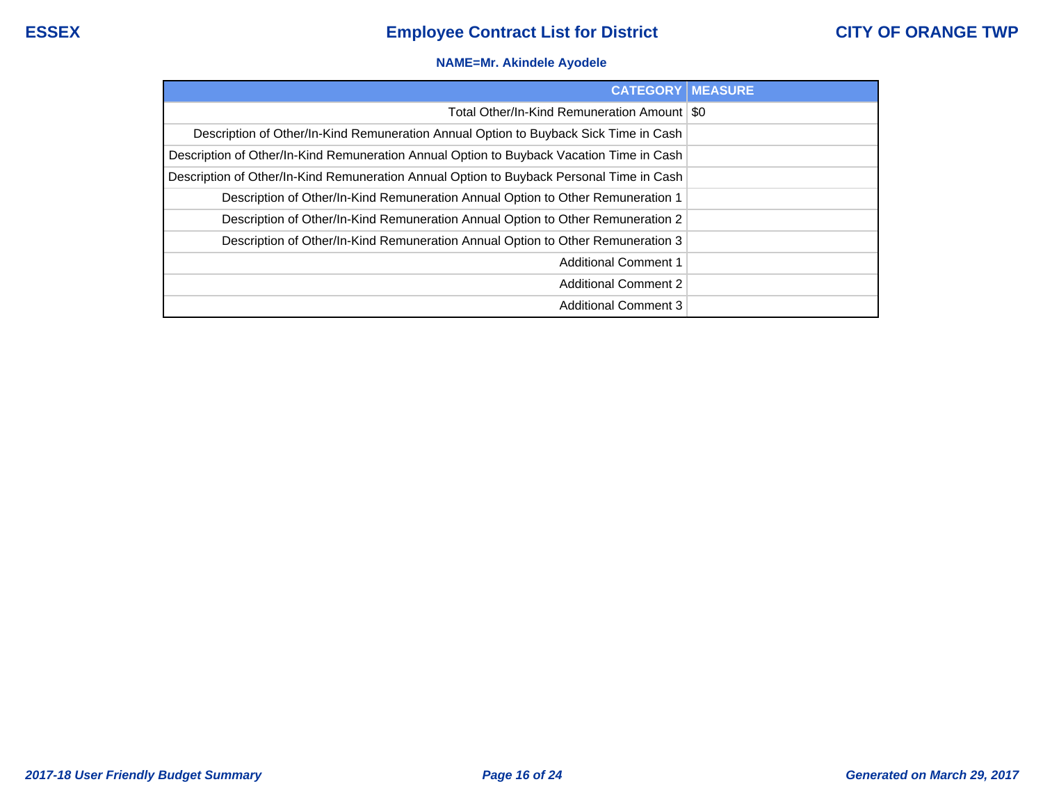## **NAME=Mr. Akindele Ayodele**

| <b>CATEGORY</b>                                                                          | <b>MEASURE</b> |
|------------------------------------------------------------------------------------------|----------------|
| Total Other/In-Kind Remuneration Amount   \$0                                            |                |
| Description of Other/In-Kind Remuneration Annual Option to Buyback Sick Time in Cash     |                |
| Description of Other/In-Kind Remuneration Annual Option to Buyback Vacation Time in Cash |                |
| Description of Other/In-Kind Remuneration Annual Option to Buyback Personal Time in Cash |                |
| Description of Other/In-Kind Remuneration Annual Option to Other Remuneration 1          |                |
| Description of Other/In-Kind Remuneration Annual Option to Other Remuneration 2          |                |
| Description of Other/In-Kind Remuneration Annual Option to Other Remuneration 3          |                |
| <b>Additional Comment 1</b>                                                              |                |
| <b>Additional Comment 2</b>                                                              |                |
| <b>Additional Comment 3</b>                                                              |                |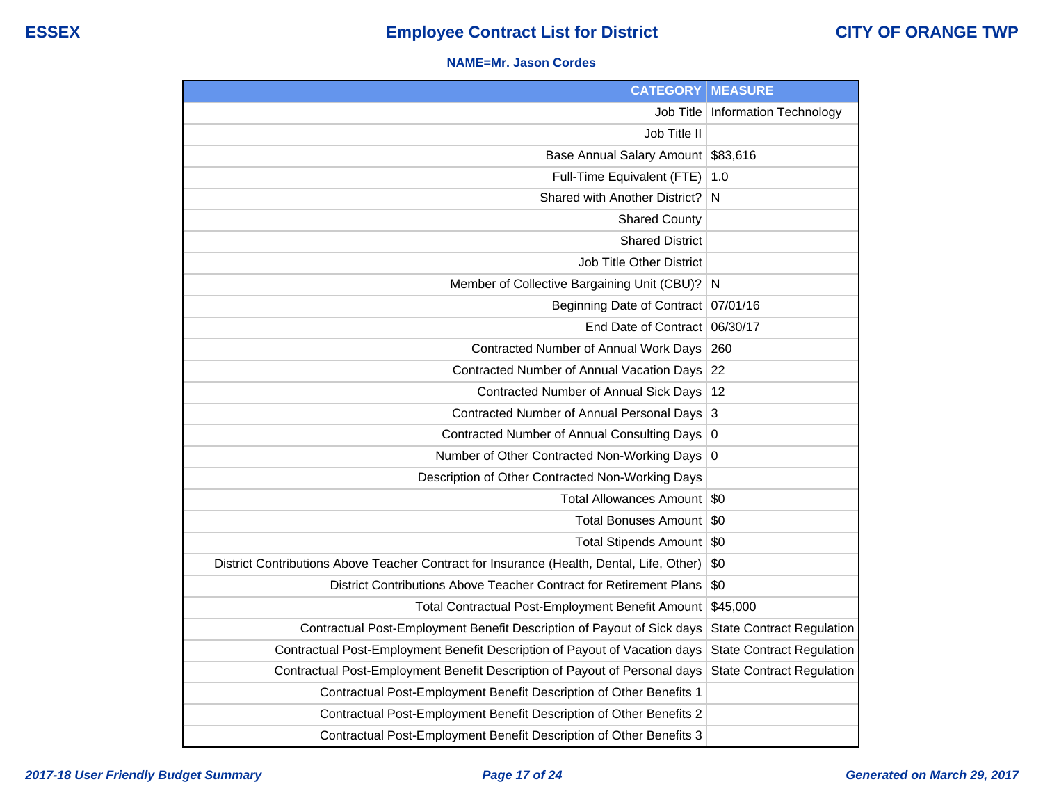#### **NAME=Mr. Jason Cordes**

| <b>CATEGORY</b>                                                                           | <b>MEASURE</b>                   |
|-------------------------------------------------------------------------------------------|----------------------------------|
| <b>Job Title</b>                                                                          | <b>Information Technology</b>    |
| Job Title II                                                                              |                                  |
| Base Annual Salary Amount                                                                 | \$83,616                         |
| Full-Time Equivalent (FTE)                                                                | 1.0                              |
| Shared with Another District?                                                             | N                                |
| <b>Shared County</b>                                                                      |                                  |
| <b>Shared District</b>                                                                    |                                  |
| Job Title Other District                                                                  |                                  |
| Member of Collective Bargaining Unit (CBU)?                                               | N                                |
| <b>Beginning Date of Contract</b>                                                         | 07/01/16                         |
| End Date of Contract                                                                      | 06/30/17                         |
| Contracted Number of Annual Work Days                                                     | 260                              |
| Contracted Number of Annual Vacation Days                                                 | 22                               |
| Contracted Number of Annual Sick Days                                                     | 12                               |
| Contracted Number of Annual Personal Days                                                 | 3                                |
| Contracted Number of Annual Consulting Days                                               | 0                                |
| Number of Other Contracted Non-Working Days                                               | $\overline{0}$                   |
| Description of Other Contracted Non-Working Days                                          |                                  |
| <b>Total Allowances Amount</b>                                                            | \$0                              |
| <b>Total Bonuses Amount</b>                                                               | \$0                              |
| <b>Total Stipends Amount</b>                                                              | \$0                              |
| District Contributions Above Teacher Contract for Insurance (Health, Dental, Life, Other) | \$0                              |
| District Contributions Above Teacher Contract for Retirement Plans                        | \$0                              |
| Total Contractual Post-Employment Benefit Amount                                          | \$45,000                         |
| Contractual Post-Employment Benefit Description of Payout of Sick days                    | <b>State Contract Regulation</b> |
| Contractual Post-Employment Benefit Description of Payout of Vacation days                | <b>State Contract Regulation</b> |
| Contractual Post-Employment Benefit Description of Payout of Personal days                | <b>State Contract Regulation</b> |
| Contractual Post-Employment Benefit Description of Other Benefits 1                       |                                  |
| Contractual Post-Employment Benefit Description of Other Benefits 2                       |                                  |
| Contractual Post-Employment Benefit Description of Other Benefits 3                       |                                  |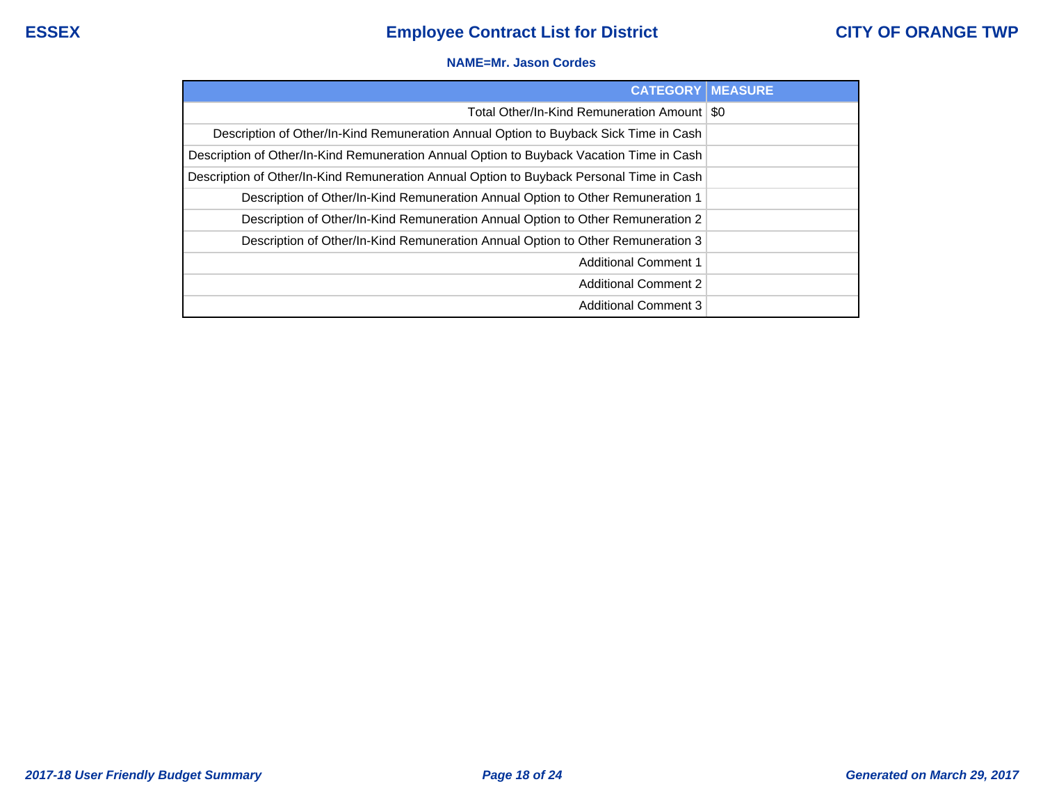#### **NAME=Mr. Jason Cordes**

| <b>CATEGORY   MEASURE</b>                                                                |  |
|------------------------------------------------------------------------------------------|--|
| Total Other/In-Kind Remuneration Amount   \$0                                            |  |
| Description of Other/In-Kind Remuneration Annual Option to Buyback Sick Time in Cash     |  |
| Description of Other/In-Kind Remuneration Annual Option to Buyback Vacation Time in Cash |  |
| Description of Other/In-Kind Remuneration Annual Option to Buyback Personal Time in Cash |  |
| Description of Other/In-Kind Remuneration Annual Option to Other Remuneration 1          |  |
| Description of Other/In-Kind Remuneration Annual Option to Other Remuneration 2          |  |
| Description of Other/In-Kind Remuneration Annual Option to Other Remuneration 3          |  |
| <b>Additional Comment 1</b>                                                              |  |
| <b>Additional Comment 2</b>                                                              |  |
| <b>Additional Comment 3</b>                                                              |  |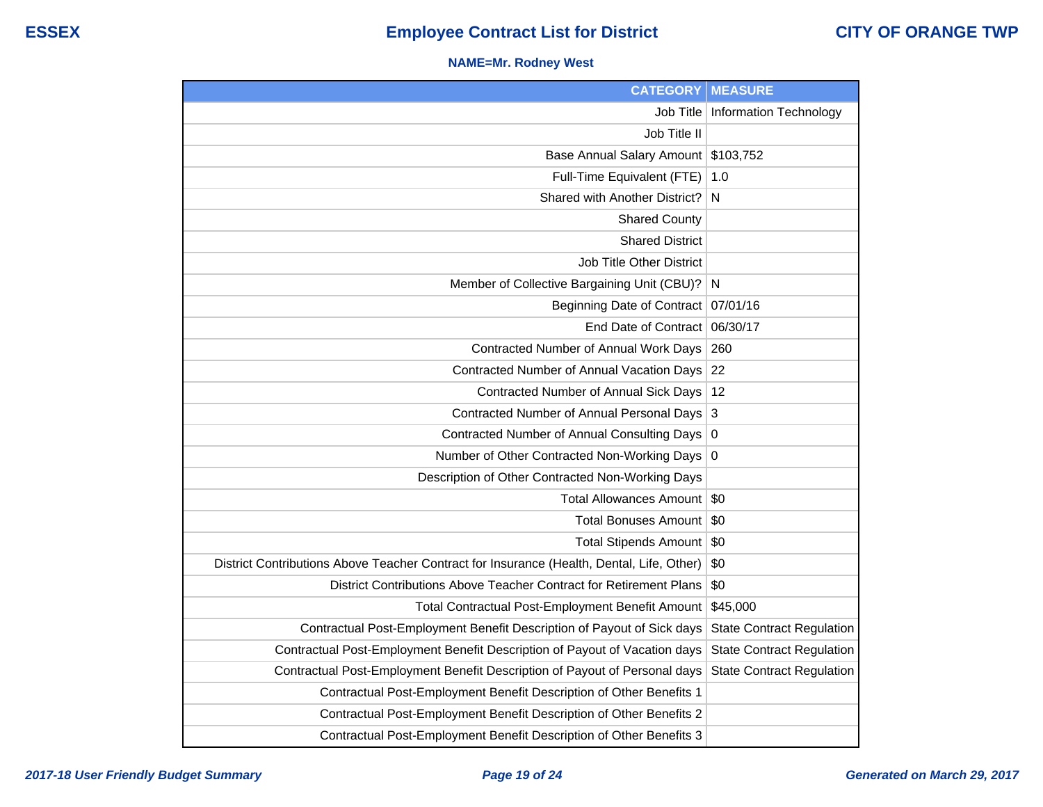## **NAME=Mr. Rodney West**

| <b>CATEGORY</b>                                                                           | <b>MEASURE</b>                     |
|-------------------------------------------------------------------------------------------|------------------------------------|
|                                                                                           | Job Title   Information Technology |
| Job Title II                                                                              |                                    |
| Base Annual Salary Amount                                                                 | \$103,752                          |
| Full-Time Equivalent (FTE)                                                                | 1.0                                |
| Shared with Another District?                                                             | N                                  |
| <b>Shared County</b>                                                                      |                                    |
| <b>Shared District</b>                                                                    |                                    |
| Job Title Other District                                                                  |                                    |
| Member of Collective Bargaining Unit (CBU)?                                               | N                                  |
| Beginning Date of Contract                                                                | 07/01/16                           |
| End Date of Contract                                                                      | 06/30/17                           |
| Contracted Number of Annual Work Days                                                     | 260                                |
| Contracted Number of Annual Vacation Days                                                 | 22                                 |
| Contracted Number of Annual Sick Days                                                     | 12                                 |
| Contracted Number of Annual Personal Days                                                 | $\mathbf{3}$                       |
| Contracted Number of Annual Consulting Days                                               | 0                                  |
| Number of Other Contracted Non-Working Days 0                                             |                                    |
| Description of Other Contracted Non-Working Days                                          |                                    |
| Total Allowances Amount                                                                   | \$0                                |
| <b>Total Bonuses Amount</b>                                                               | \$0                                |
| Total Stipends Amount                                                                     | \$0                                |
| District Contributions Above Teacher Contract for Insurance (Health, Dental, Life, Other) | \$0                                |
| District Contributions Above Teacher Contract for Retirement Plans                        | \$0                                |
| Total Contractual Post-Employment Benefit Amount                                          | \$45,000                           |
| Contractual Post-Employment Benefit Description of Payout of Sick days                    | <b>State Contract Regulation</b>   |
| Contractual Post-Employment Benefit Description of Payout of Vacation days                | <b>State Contract Regulation</b>   |
| Contractual Post-Employment Benefit Description of Payout of Personal days                | <b>State Contract Regulation</b>   |
| Contractual Post-Employment Benefit Description of Other Benefits 1                       |                                    |
| Contractual Post-Employment Benefit Description of Other Benefits 2                       |                                    |
| Contractual Post-Employment Benefit Description of Other Benefits 3                       |                                    |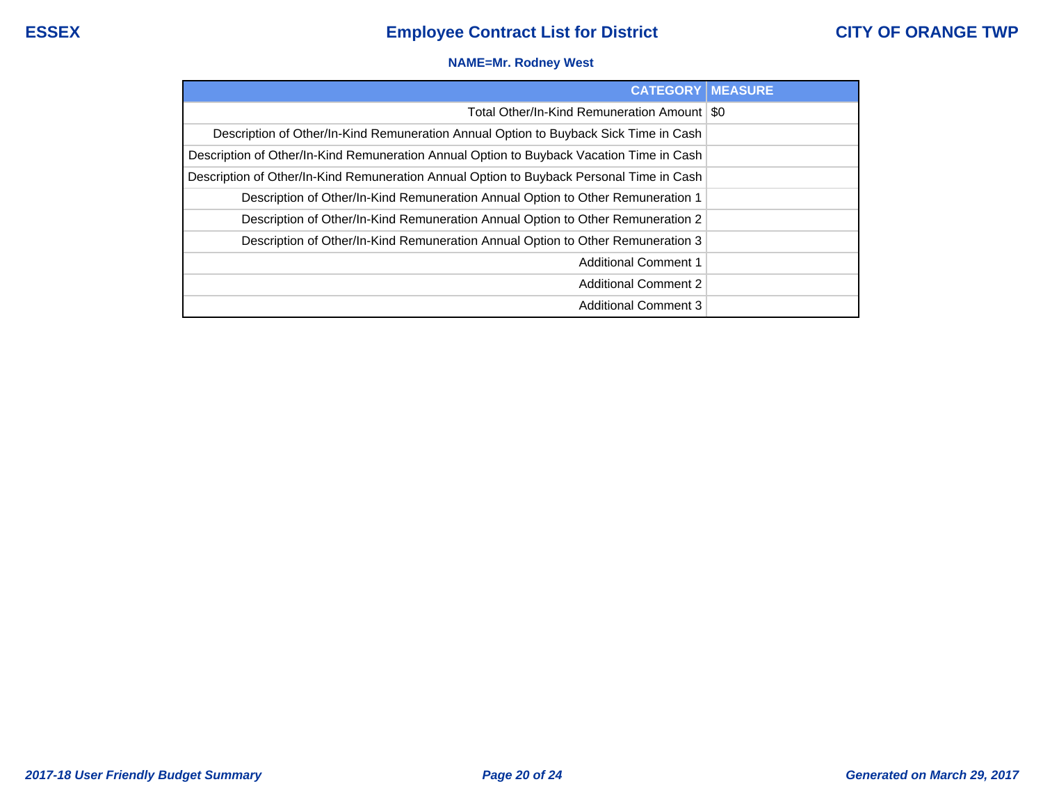## **NAME=Mr. Rodney West**

| <b>CATEGORY   MEASURE</b>                                                                |  |
|------------------------------------------------------------------------------------------|--|
| Total Other/In-Kind Remuneration Amount   \$0                                            |  |
| Description of Other/In-Kind Remuneration Annual Option to Buyback Sick Time in Cash     |  |
| Description of Other/In-Kind Remuneration Annual Option to Buyback Vacation Time in Cash |  |
| Description of Other/In-Kind Remuneration Annual Option to Buyback Personal Time in Cash |  |
| Description of Other/In-Kind Remuneration Annual Option to Other Remuneration 1          |  |
| Description of Other/In-Kind Remuneration Annual Option to Other Remuneration 2          |  |
| Description of Other/In-Kind Remuneration Annual Option to Other Remuneration 3          |  |
| <b>Additional Comment 1</b>                                                              |  |
| <b>Additional Comment 2</b>                                                              |  |
| <b>Additional Comment 3</b>                                                              |  |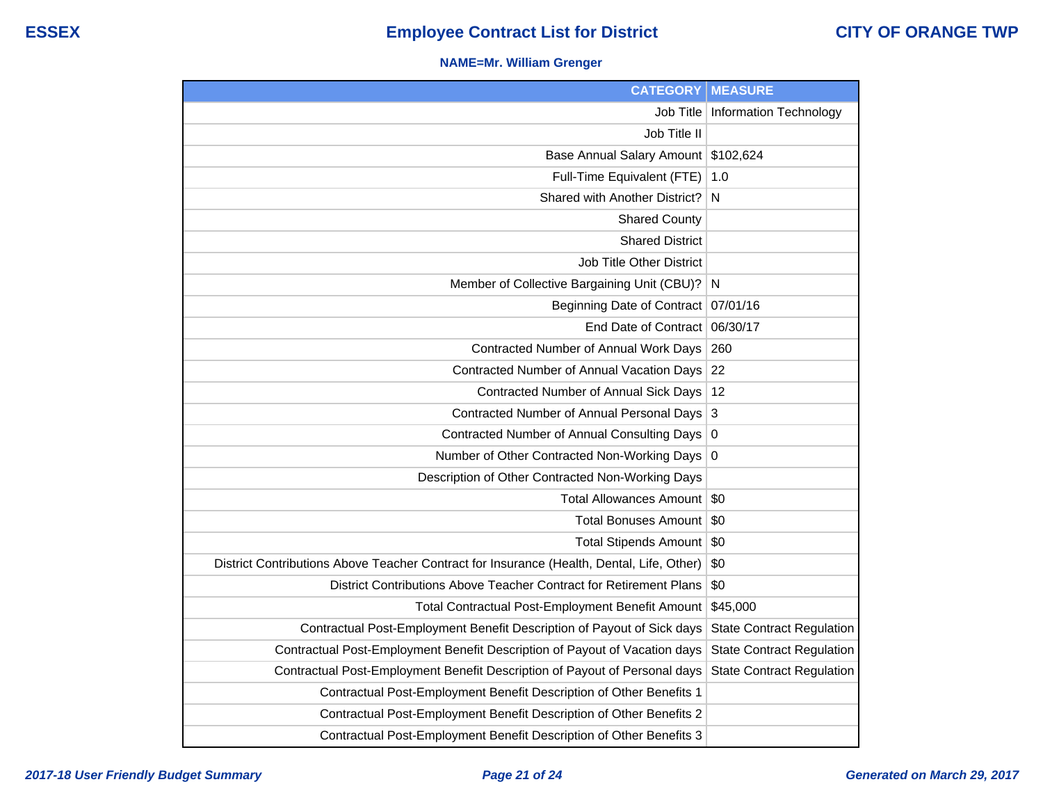## **NAME=Mr. William Grenger**

| <b>CATEGORY</b>                                                                           | <b>MEASURE</b>                     |
|-------------------------------------------------------------------------------------------|------------------------------------|
|                                                                                           | Job Title   Information Technology |
| Job Title II                                                                              |                                    |
| Base Annual Salary Amount                                                                 | \$102,624                          |
| Full-Time Equivalent (FTE)                                                                | 1.0                                |
| Shared with Another District?                                                             | N                                  |
| <b>Shared County</b>                                                                      |                                    |
| <b>Shared District</b>                                                                    |                                    |
| Job Title Other District                                                                  |                                    |
| Member of Collective Bargaining Unit (CBU)?                                               | <sup>N</sup>                       |
| Beginning Date of Contract                                                                | 07/01/16                           |
| End Date of Contract                                                                      | 06/30/17                           |
| Contracted Number of Annual Work Days                                                     | 260                                |
| Contracted Number of Annual Vacation Days                                                 | 22                                 |
| Contracted Number of Annual Sick Days                                                     | 12                                 |
| Contracted Number of Annual Personal Days                                                 | $\mathbf{3}$                       |
| Contracted Number of Annual Consulting Days                                               | 0                                  |
| Number of Other Contracted Non-Working Days 0                                             |                                    |
| Description of Other Contracted Non-Working Days                                          |                                    |
| Total Allowances Amount                                                                   | -\$0                               |
| <b>Total Bonuses Amount</b>                                                               | \$0                                |
| <b>Total Stipends Amount</b>                                                              | \$0                                |
| District Contributions Above Teacher Contract for Insurance (Health, Dental, Life, Other) | \$0                                |
| District Contributions Above Teacher Contract for Retirement Plans                        | \$0                                |
| Total Contractual Post-Employment Benefit Amount                                          | \$45,000                           |
| Contractual Post-Employment Benefit Description of Payout of Sick days                    | <b>State Contract Regulation</b>   |
| Contractual Post-Employment Benefit Description of Payout of Vacation days                | <b>State Contract Regulation</b>   |
| Contractual Post-Employment Benefit Description of Payout of Personal days                | <b>State Contract Regulation</b>   |
| Contractual Post-Employment Benefit Description of Other Benefits 1                       |                                    |
| Contractual Post-Employment Benefit Description of Other Benefits 2                       |                                    |
| Contractual Post-Employment Benefit Description of Other Benefits 3                       |                                    |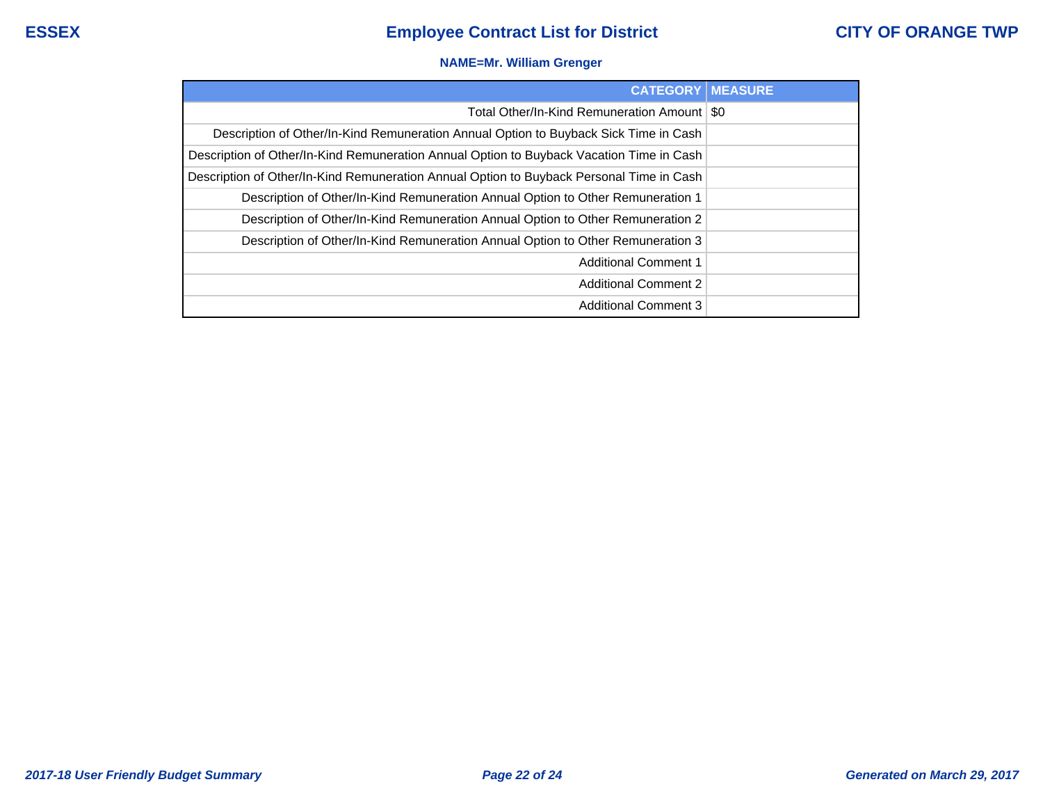## **NAME=Mr. William Grenger**

| <b>CATEGORY   MEASURE</b>                                                                |  |
|------------------------------------------------------------------------------------------|--|
| Total Other/In-Kind Remuneration Amount   \$0                                            |  |
| Description of Other/In-Kind Remuneration Annual Option to Buyback Sick Time in Cash     |  |
| Description of Other/In-Kind Remuneration Annual Option to Buyback Vacation Time in Cash |  |
| Description of Other/In-Kind Remuneration Annual Option to Buyback Personal Time in Cash |  |
| Description of Other/In-Kind Remuneration Annual Option to Other Remuneration 1          |  |
| Description of Other/In-Kind Remuneration Annual Option to Other Remuneration 2          |  |
| Description of Other/In-Kind Remuneration Annual Option to Other Remuneration 3          |  |
| <b>Additional Comment 1</b>                                                              |  |
| <b>Additional Comment 2</b>                                                              |  |
| <b>Additional Comment 3</b>                                                              |  |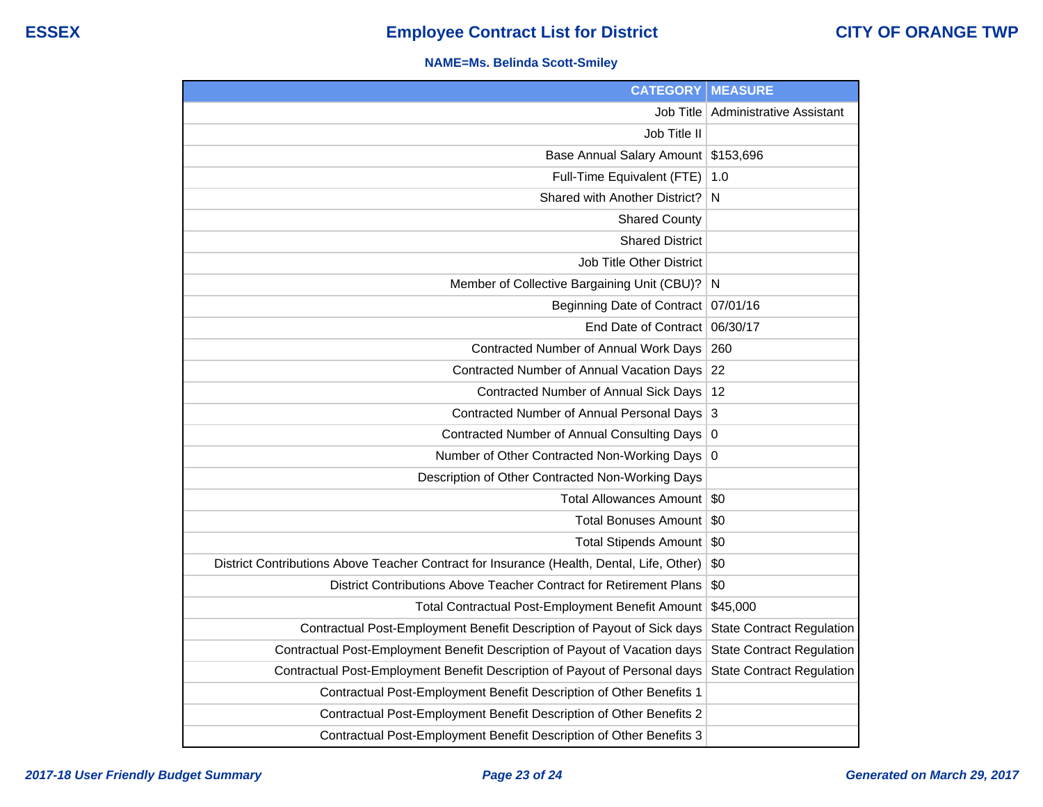## **NAME=Ms. Belinda Scott-Smiley**

| <b>CATEGORY</b>                                                                           | <b>MEASURE</b>                   |
|-------------------------------------------------------------------------------------------|----------------------------------|
| <b>Job Title</b>                                                                          | <b>Administrative Assistant</b>  |
| Job Title II                                                                              |                                  |
| Base Annual Salary Amount                                                                 | \$153,696                        |
| Full-Time Equivalent (FTE)                                                                | 1.0                              |
| Shared with Another District?                                                             | N                                |
| <b>Shared County</b>                                                                      |                                  |
| <b>Shared District</b>                                                                    |                                  |
| Job Title Other District                                                                  |                                  |
| Member of Collective Bargaining Unit (CBU)?                                               | N                                |
| <b>Beginning Date of Contract</b>                                                         | 07/01/16                         |
| End Date of Contract                                                                      | 06/30/17                         |
| Contracted Number of Annual Work Days                                                     | 260                              |
| Contracted Number of Annual Vacation Days                                                 | 22                               |
| Contracted Number of Annual Sick Days                                                     | 12                               |
| Contracted Number of Annual Personal Days                                                 | 3                                |
| Contracted Number of Annual Consulting Days                                               | 0                                |
| Number of Other Contracted Non-Working Days                                               | $\overline{0}$                   |
| Description of Other Contracted Non-Working Days                                          |                                  |
| <b>Total Allowances Amount</b>                                                            | \$0                              |
| <b>Total Bonuses Amount</b>                                                               | \$0                              |
| <b>Total Stipends Amount</b>                                                              | \$0                              |
| District Contributions Above Teacher Contract for Insurance (Health, Dental, Life, Other) | \$0                              |
| District Contributions Above Teacher Contract for Retirement Plans                        | \$0                              |
| Total Contractual Post-Employment Benefit Amount                                          | \$45,000                         |
| Contractual Post-Employment Benefit Description of Payout of Sick days                    | <b>State Contract Regulation</b> |
| Contractual Post-Employment Benefit Description of Payout of Vacation days                | <b>State Contract Regulation</b> |
| Contractual Post-Employment Benefit Description of Payout of Personal days                | <b>State Contract Regulation</b> |
| Contractual Post-Employment Benefit Description of Other Benefits 1                       |                                  |
| Contractual Post-Employment Benefit Description of Other Benefits 2                       |                                  |
| Contractual Post-Employment Benefit Description of Other Benefits 3                       |                                  |